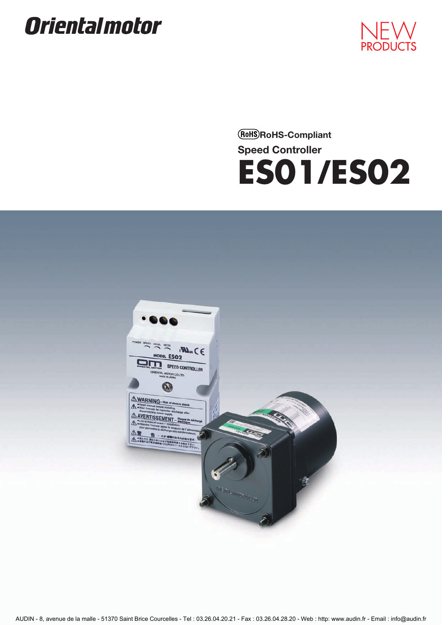# **Orientalmotor**



**RoHS-Compliant Speed Controller ES01/ES02**



AUDIN - 8, avenue de la malle - 51370 Saint Brice Courcelles - Tel : 03.26.04.20.21 - Fax : 03.26.04.28.20 - Web : http: www.audin.fr - Email : info@audin.fr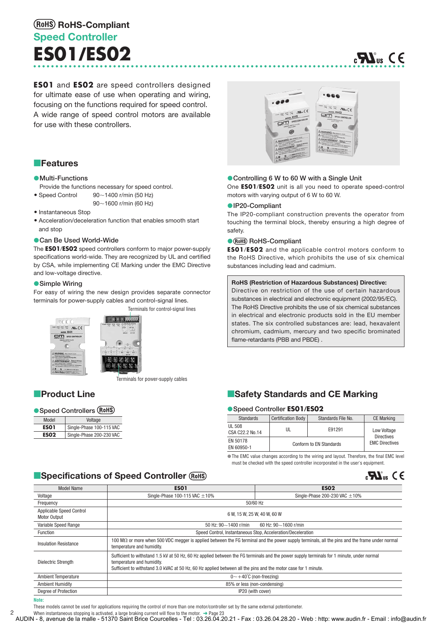# **Speed Controller ES01/ES02 RoHS-Compliant**

**ES01** and **ES02** are speed controllers designed for ultimate ease of use when operating and wiring, focusing on the functions required for speed control. A wide range of speed control motors are available for use with these controllers.

# om  $\Omega$

# **Features**

#### **Multi-Functions**

- Provide the functions necessary for speed control.
- Speed Control 90 $\sim$ 90~1400 r/min (50 Hz)
	- 90-1600 r/min (60 Hz)
- Instantaneous Stop
- Acceleration/deceleration function that enables smooth start and stop

#### **Can Be Used World-Wide**

The **ES01**/**ES02** speed controllers conform to major power-supply specifications world-wide. They are recognized by UL and certified by CSA, while implementing CE Marking under the EMC Directive and low-voltage directive.

#### **Simple Wiring**

For easy of wiring the new design provides separate connector terminals for power-supply cables and control-signal lines.

Terminals for control-signal lines





Terminals for power-supply cables

# **Product Line**

#### **Speed Controllers**

| Model       | Voltage                  |
|-------------|--------------------------|
| <b>ES01</b> | Single-Phase 100-115 VAC |
| <b>ES02</b> | Single-Phase 200-230 VAC |

#### **Controlling 6 W to 60 W with a Single Unit**

One **ES01**/**ES02** unit is all you need to operate speed-control motors with varying output of 6 W to 60 W.

#### **IP20-Compliant**

The IP20-compliant construction prevents the operator from touching the terminal block, thereby ensuring a high degree of safety.

#### **• RoHS-Compliant**

**ES01**/**ES02** and the applicable control motors conform to the RoHS Directive, which prohibits the use of six chemical substances including lead and cadmium.

#### **RoHS (Restriction of Hazardous Substances) Directive:**

Directive on restriction of the use of certain hazardous substances in electrical and electronic equipment (2002/95/EC). The RoHS Directive prohibits the use of six chemical substances in electrical and electronic products sold in the EU member states. The six controlled substances are: lead, hexavalent chromium, cadmium, mercury and two specific brominated flame-retardants (PBB and PBDE) .

# **E**Safety Standards and CE Marking

#### **Speed Controller ES01/ES02**

| <b>Standards</b>          | <b>Certification Body</b> | Standards File No.      | <b>CE Marking</b>                |
|---------------------------|---------------------------|-------------------------|----------------------------------|
| UL 508<br>CSA C22.2 No.14 | UL                        | E91291                  | Low Voltage<br><b>Directives</b> |
| EN 50178<br>EN 60950-1    |                           | Conform to EN Standards | <b>EMC Directives</b>            |

The EMC value changes according to the wiring and layout. Therefore, the final EMC level must be checked with the speed controller incorporated in the user's equipment.

 $_{c}$ Henger CE

# **E**Specifications of Speed Controller

| <b>Model Name</b>                        | <b>ESO1</b>                                                                                                                                                                                                                                                                              | <b>ES02</b>                        |  |  |  |
|------------------------------------------|------------------------------------------------------------------------------------------------------------------------------------------------------------------------------------------------------------------------------------------------------------------------------------------|------------------------------------|--|--|--|
| Voltage                                  | Single-Phase 100-115 VAC $\pm$ 10%                                                                                                                                                                                                                                                       | Single-Phase 200-230 VAC $\pm$ 10% |  |  |  |
| Frequency                                | 50/60 Hz                                                                                                                                                                                                                                                                                 |                                    |  |  |  |
| Applicable Speed Control<br>Motor Output | 6 W. 15 W. 25 W. 40 W. 60 W                                                                                                                                                                                                                                                              |                                    |  |  |  |
| Variable Speed Range                     | 50 Hz: $90 - 1400$ r/min                                                                                                                                                                                                                                                                 | 60 Hz: $90 - 1600$ r/min           |  |  |  |
| Function                                 | Speed Control, Instantaneous Stop, Acceleration/Deceleration                                                                                                                                                                                                                             |                                    |  |  |  |
| <b>Insulation Resistance</b>             | 100 $\mathsf{M}\Omega$ or more when 500 VDC megger is applied between the FG terminal and the power supply terminals, all the pins and the frame under normal<br>temperature and humidity.                                                                                               |                                    |  |  |  |
| Dielectric Strength                      | Sufficient to withstand 1.5 kV at 50 Hz, 60 Hz applied between the FG terminals and the power supply terminals for 1 minute, under normal<br>temperature and humidity.<br>Sufficient to withstand 3.0 kVAC at 50 Hz, 60 Hz applied between all the pins and the motor case for 1 minute. |                                    |  |  |  |
| <b>Ambient Temperature</b>               | $0 \sim +40^{\circ}$ C (non-freezing)                                                                                                                                                                                                                                                    |                                    |  |  |  |
| <b>Ambient Humidity</b>                  | 85% or less (non-condensing)                                                                                                                                                                                                                                                             |                                    |  |  |  |
| Degree of Protection                     | IP20 (with cover)                                                                                                                                                                                                                                                                        |                                    |  |  |  |

#### **Note:**

2

These models cannot be used for applications requiring the control of more than one motor/controller set by the same external potentiometer.

When instantaneous stopping is activated, a large braking current will flow to the motor.  $\rightarrow$  Page 23

AUDIN - 8, avenue de la malle - 51370 Saint Brice Courcelles - Tel : 03.26.04.20.21 - Fax : 03.26.04.28.20 - Web : http: www.audin.fr - Email : info@audin.fr



# $\mathbf{C}$   $\mathbf{C}$ <sub>us</sub>  $\mathbf{C}$   $\in$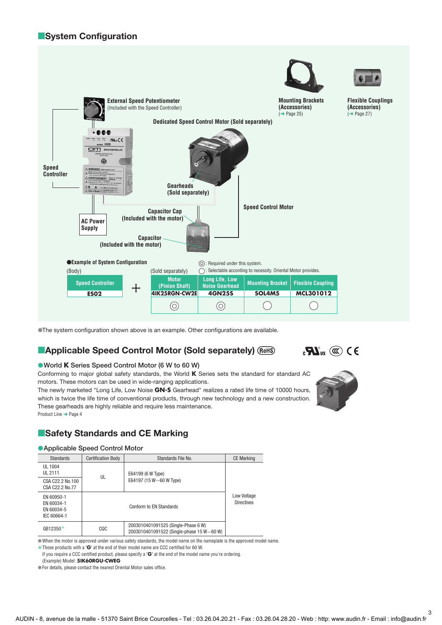# **E**System Configuration



The system configuration shown above is an example. Other configurations are available.

# **Applicable Speed Control Motor (Sold separately)**

# **World K Series Speed Control Motor (6 W to 60 W)**

Conforming to major global safety standards, the World **K** Series sets the standard for standard AC motors. These motors can be used in wide-ranging applications.

The newly marketed "Long Life, Low Noise **GN-S** Gearhead" realizes a rated life time of 10000 hours, which is twice the life time of conventional products, through new technology and a new construction. These gearheads are highly reliable and require less maintenance. Product Line ➜ Page 4



 $\mathbf{R}^{\text{max}}$  ( $\mathbf{\mathbb{C}}$ ) C E

# **E**Safety Standards and CE Marking

#### **Applicable Speed Control Motor**

| <b>Standards</b>                                      | <b>Certification Body</b> | Standards File No.                                                                      | <b>CE Marking</b>                |
|-------------------------------------------------------|---------------------------|-----------------------------------------------------------------------------------------|----------------------------------|
| UL 1004<br>UL 2111                                    | UL                        | E64199 (6 W Type)                                                                       |                                  |
| CSA C22.2 No.100<br>CSA C22.2 No.77                   |                           | E64197 (15 W $\sim$ 60 W Type)                                                          |                                  |
| EN 60950-1<br>EN 60034-1<br>EN 60034-5<br>IEC 60664-1 |                           | Conform to EN Standards                                                                 | Low Voltage<br><b>Directives</b> |
| GB12350*                                              | CQC                       | 2003010401091525 (Single-Phase 6 W)<br>2003010401091522 (Single-phase 15 W $\sim$ 60 W) |                                  |

When the motor is approved under various safety standards, the model name on the nameplate is the approved model name.

Those products with a "**G**" at the end of their model name are CCC certified for 60 W. ✽ If you require a CCC certified product, please specify a "**G**" at the end of the model name you're ordering.

(Example) Model: **5IK60RGU-CWEG**

For details, please contact the nearest Oriental Motor sales office.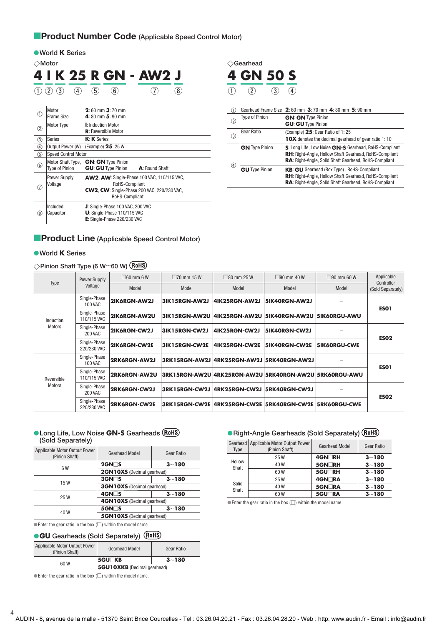# **Product Number Code** (Applicable Speed Control Motor)

|                | <b>World K Series</b>                                 |                                                                                                                                              |                            |                                   |
|----------------|-------------------------------------------------------|----------------------------------------------------------------------------------------------------------------------------------------------|----------------------------|-----------------------------------|
|                | $\Diamond$ Motor                                      |                                                                                                                                              |                            | $\Diamond$ Gearhead               |
|                |                                                       | 4   K 25 R GN - AW2 J                                                                                                                        |                            | <b>4 GN</b>                       |
|                | $\left( 4\right)$<br>$\overline{2}$<br>$\overline{3}$ | $\mathbf{5}$<br>$\left( 6\right)$<br>$\left( 8\right)$                                                                                       |                            |                                   |
| (T)            | Motor<br>Frame Size                                   | $2:60$ mm $3:70$ mm<br>$4:80$ mm $5:90$ mm                                                                                                   | $\circled{\scriptstyle 0}$ | Gearhead F<br><b>Type of Pini</b> |
| $\circled{2}$  | Motor Type                                            | I: Induction Motor<br><b>R</b> : Reversible Motor                                                                                            | (2)                        | Gear Ratio                        |
| $\circled{3}$  | <b>Series</b>                                         | K: K Series                                                                                                                                  | $\circled{3}$              |                                   |
| $\circledcirc$ | Output Power (W)                                      | (Example) $25:25W$                                                                                                                           |                            | <b>GN</b> Type F                  |
| $\circledS$    | <b>Speed Control Motor</b>                            |                                                                                                                                              |                            |                                   |
| $\circledS$    | Motor Shaft Type,<br><b>Type of Pinion</b>            | <b>GN: GN Type Pinion</b><br><b>GU: GU Type Pinion</b><br>A: Round Shaft                                                                     | $\circled{4}$              | <b>GU</b> Type P                  |
| $^{\circledR}$ | Power Supply<br>Voltage                               | <b>AW2. AW: Single-Phase 100 VAC, 110/115 VAC,</b><br>RoHS-Compliant<br><b>CW2, CW: Single-Phase 200 VAC, 220/230 VAC,</b><br>RoHS-Compliant |                            |                                   |
| (8)            | Included<br>Capacitor                                 | J: Single-Phase 100 VAC, 200 VAC<br>U: Single-Phase 110/115 VAC<br>E: Single-Phase 220/230 VAC                                               |                            |                                   |

| $\small{\gt}$ Gearhead |           |  |  |  |  |
|------------------------|-----------|--|--|--|--|
|                        | 4 GN 50 S |  |  |  |  |
|                        |           |  |  |  |  |

| (1)               |                       | Gearhead Frame Size 2:60 mm 3:70 mm 4:80 mm 5:90 mm                                                                                                                             |
|-------------------|-----------------------|---------------------------------------------------------------------------------------------------------------------------------------------------------------------------------|
| $\left( 2\right)$ | <b>Type of Pinion</b> | <b>GN: GN Type Pinion</b><br><b>GU: GU Type Pinion</b>                                                                                                                          |
| (3)               | <b>Gear Ratio</b>     | (Example) 25: Gear Ratio of 1: 25                                                                                                                                               |
|                   |                       | <b>10X</b> denotes the decimal gearhead of gear ratio 1:10                                                                                                                      |
|                   | <b>GN</b> Type Pinion | S: Long Life, Low Noise GN-S Gearhead, RoHS-Compliant<br><b>RH:</b> Right-Angle, Hollow Shaft Gearhead, RoHS-Compliant<br>RA: Right-Angle, Solid Shaft Gearhead, RoHS-Compliant |
| $\circled{4}$     | <b>GU</b> Type Pinion | <b>KB: GU</b> Gearhead (Box Type), RoHS-Compliant<br><b>RH:</b> Right-Angle, Hollow Shaft Gearhead, RoHS-Compliant<br>RA: Right-Angle, Solid Shaft Gearhead, RoHS-Compliant     |

# **Product Line** (Applicable Speed Control Motor)

#### **World K Series**

#### **Pinion Shaft Type (6 W**-**60 W)**

|                      | Power Supply                   | $\Box 60$ mm 6 W | $\Box$ 70 mm 15 W | $\Box$ 80 mm 25 W           | $\Box$ 90 mm 40 W                                      | $\Box$ 90 mm 60 W   | Applicable<br>Controller |
|----------------------|--------------------------------|------------------|-------------------|-----------------------------|--------------------------------------------------------|---------------------|--------------------------|
| Type                 | Voltage                        | Model            | Model             | Model                       | Model                                                  | Model               | (Sold Separately)        |
|                      | Single-Phase<br><b>100 VAC</b> | 2IK6RGN-AW2J     | 3IK15RGN-AW2J     | 4IK25RGN-AW2J               | 5IK40RGN-AW2J                                          |                     | <b>ESO1</b>              |
| Induction<br>Motors  | Single-Phase<br>110/115 VAC    | 2IK6RGN-AW2U     | 3IK15RGN-AW2U     | 41K25RGN-AW2U               | <b>5IK40RGN-AW2U 5IK60RGU-AWU</b>                      |                     |                          |
|                      | Single-Phase<br><b>200 VAC</b> | 2IK6RGN-CW2J     | 3IK15RGN-CW2J     | 4IK25RGN-CW2J               | 5IK40RGN-CW2J                                          |                     | <b>ESO2</b>              |
|                      | Single-Phase<br>220/230 VAC    | 2IK6RGN-CW2E     | 3IK15RGN-CW2E     | 4IK25RGN-CW2E               | 5IK40RGN-CW2E                                          | <b>5IK60RGU-CWE</b> |                          |
| Reversible<br>Motors | Single-Phase<br><b>100 VAC</b> | 2RK6RGN-AW2J     |                   |                             | 3RK15RGN-AW2J 4RK25RGN-AW2J 5RK40RGN-AW2J              |                     | <b>ESO1</b>              |
|                      | Single-Phase<br>110/115 VAC    | 2RK6RGN-AW2U     |                   |                             |                                                        |                     |                          |
|                      | Single-Phase<br><b>200 VAC</b> | 2RK6RGN-CW2J     |                   | 3RK15RGN-CW2J 4RK25RGN-CW2J | <b>5RK40RGN-CW2J</b>                                   |                     |                          |
|                      | Single-Phase<br>220/230 VAC    | 2RK6RGN-CW2E     |                   |                             | 3RK15RGN-CW2E 4RK25RGN-CW2E 5RK40RGN-CW2E 5RK60RGU-CWE |                     | <b>ESO2</b>              |

#### **Long Life, Low Noise GN-S Gearheads (Sold Separately)**  $\bullet$

| Applicable Motor Output Power<br>(Pinion Shaft) | <b>Gearhead Model</b>             | Gear Ratio |  |
|-------------------------------------------------|-----------------------------------|------------|--|
| 6 W                                             | $2$ GN $\Box$ S                   | $3 - 180$  |  |
|                                                 | 2GN10XS (Decimal gearhead)        |            |  |
| 15W                                             | $3$ GN $\Box$ S                   | $3 - 180$  |  |
|                                                 | <b>3GN10XS</b> (Decimal gearhead) |            |  |
| 25 W                                            | 4GN <sub>S</sub>                  | $3 - 180$  |  |
|                                                 | 4GN10XS (Decimal gearhead)        |            |  |
| 40 W                                            | 5GN <sub>S</sub>                  | $3 - 180$  |  |
|                                                 | <b>5GN10XS</b> (Decimal gearhead) |            |  |
|                                                 |                                   |            |  |

 $\bullet$  Enter the gear ratio in the box  $\circlearrowright$ ) within the model name.

#### **GU Gearheads (Sold Separately)**

| Applicable Motor Output Power<br>(Pinion Shaft) | <b>Gearhead Model</b>              | Gear Ratio |
|-------------------------------------------------|------------------------------------|------------|
| 60 W                                            | 5GU⊡KB                             | $3 - 180$  |
|                                                 | <b>5GU10XKB</b> (Decimal gearhead) |            |

 $\bullet$  Enter the gear ratio in the box ( $\Box$ ) within the model name.

4

#### **Right-Angle Gearheads (Sold Separately)**

| Type            | Gearhead   Applicable Motor Output Power<br>(Pinion Shaft) | <b>Gearhead Model</b> | <b>Gear Ratio</b> |
|-----------------|------------------------------------------------------------|-----------------------|-------------------|
|                 | 25 W                                                       | 4GN□RH                | $3 - 180$         |
| Hollow<br>Shaft | 40 W                                                       | 5GN <sub>RH</sub>     | $3 - 180$         |
|                 | 60 W                                                       | 5GU <sub>RH</sub>     | $3 - 180$         |
|                 | 25 W                                                       | <b>4GN</b> RA         | $3 - 180$         |
| Solid<br>Shaft  | 40 W                                                       | 5GN <sub>RA</sub>     | $3 - 180$         |
|                 | 60 W                                                       | 5GU <sub>RA</sub>     | $3 - 180$         |

 $\bullet$  Enter the gear ratio in the box ( $\Box$ ) within the model name.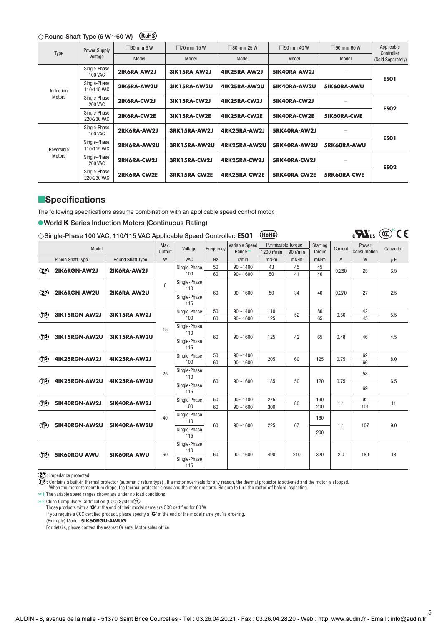#### **Round Shaft Type (6 W**-**60 W)**

| Type                 | Power Supply                   | $\Box$ 60 mm 6 W | $\Box$ 70 mm 15 W   | $\Box$ 80 mm 25 W   | $\Box$ 90 mm 40 W | $\Box$ 90 mm 60 W  | Applicable                      |
|----------------------|--------------------------------|------------------|---------------------|---------------------|-------------------|--------------------|---------------------------------|
|                      | Voltage                        | Model            | Model               | Model               | Model             | Model              | Controller<br>(Sold Separately) |
| Induction<br>Motors  | Single-Phase<br>100 VAC        | 2IK6RA-AW2J      | <b>3IK15RA-AW2J</b> | <b>4IK25RA-AW2J</b> | 5IK40RA-AW2J      |                    |                                 |
|                      | Single-Phase<br>110/115 VAC    | 2IK6RA-AW2U      | <b>3IK15RA-AW2U</b> | 4IK25RA-AW2U        | 5IK40RA-AW2U      | 5IK60RA-AWU        | <b>ESO1</b>                     |
|                      | Single-Phase<br><b>200 VAC</b> | 2IK6RA-CW2J      | <b>3IK15RA-CW2J</b> | 4IK25RA-CW2J        | 5IK40RA-CW2J      |                    | <b>ESO2</b>                     |
|                      | Single-Phase<br>220/230 VAC    | 2IK6RA-CW2E      | <b>3IK15RA-CW2E</b> | 4IK25RA-CW2E        | 5IK40RA-CW2E      | <b>5IK60RA-CWE</b> |                                 |
| Reversible<br>Motors | Single-Phase<br><b>100 VAC</b> | 2RK6RA-AW2J      | 3RK15RA-AW2J        | 4RK25RA-AW2J        | 5RK40RA-AW2J      |                    | <b>ESO1</b>                     |
|                      | Single-Phase<br>110/115 VAC    | 2RK6RA-AW2U      | 3RK15RA-AW2U        | 4RK25RA-AW2U        | 5RK40RA-AW2U      | 5RK60RA-AWU        |                                 |
|                      | Single-Phase<br><b>200 VAC</b> | 2RK6RA-CW2J      | 3RK15RA-CW2J        | 4RK25RA-CW2J        | 5RK40RA-CW2J      |                    |                                 |
|                      | Single-Phase<br>220/230 VAC    | 2RK6RA-CW2E      | 3RK15RA-CW2E        | 4RK25RA-CW2E        | 5RK40RA-CW2E      | <b>5RK60RA-CWE</b> | <b>ESO2</b>                     |

# **Specifications**

The following specifications assume combination with an applicable speed control motor.

#### **World K Series Induction Motors (Continuous Rating)**

| $\diamondsuit$ Single-Phase 100 VAC, 110/115 VAC Applicable Speed Controller: ES01 (RoHS) |  |
|-------------------------------------------------------------------------------------------|--|
|-------------------------------------------------------------------------------------------|--|

 $\mathbb{C}$ **W**<sub>us</sub> ( $\mathbb{C}$ <sup>2</sup>CE)

5

| Model          |                          |                         | Max.                | Voltage                             | Frequency | Variable Speed      | Permissible Torque |          | <b>Starting</b><br>Current |                | Power       | Capacitor |  |
|----------------|--------------------------|-------------------------|---------------------|-------------------------------------|-----------|---------------------|--------------------|----------|----------------------------|----------------|-------------|-----------|--|
|                |                          |                         | Output              |                                     |           | Range <sup>*1</sup> | 1200 r/min         | 90 r/min | Torque                     |                | Consumption |           |  |
|                | <b>Pinion Shaft Type</b> | <b>Round Shaft Type</b> | W                   | <b>VAC</b>                          | Hz        | r/min               | mN·m               | mN·m     | mN·m                       | $\overline{A}$ | W           | μF        |  |
| $\circledcirc$ | 2IK6RGN-AW2J             | 2IK6RA-AW2J             |                     | Single-Phase                        | 50        | $90 - 1400$         | 43                 | 45       | 45                         | 0.280          | 25          | 3.5       |  |
|                |                          |                         |                     | 100                                 | 60        | $90 - 1600$         | 50                 | 41       | 40                         |                |             |           |  |
| $\mathbf{Z}$   | 2IK6RGN-AW2U             | 2IK6RA-AW2U             | 6                   | Single-Phase<br>110<br>Single-Phase | 60        | $90 - 1600$         | 50                 | 34       | 40                         | 0.270          | 27          | 2.5       |  |
|                |                          |                         |                     | 115                                 |           |                     |                    |          |                            |                |             |           |  |
| $\bigcirc$     | 3IK15RGN-AW2J            | <b>3IK15RA-AW2J</b>     |                     | Single-Phase                        | 50        | $90 - 1400$         | 110                | 52       | 80                         | 0.50           | 42          | 5.5       |  |
|                |                          |                         |                     | 100                                 | 60        | $90 - 1600$         | 125                |          | 65                         |                | 45          |           |  |
| <b>TP</b>      | 3IK15RGN-AW2U            | 3IK15RA-AW2U            | 15                  | Single-Phase<br>110                 | 60        | $90 - 1600$         | 125                | 42       | 65                         | 0.48           | 46          | 4.5       |  |
|                |                          |                         |                     | Single-Phase<br>115                 |           |                     |                    |          |                            |                |             |           |  |
| <b>TP</b>      | 4IK25RGN-AW2J            | <b>4IK25RA-AW2J</b>     |                     | Single-Phase                        | 50        | $90 - 1400$         | 205                | 60       | 125                        | 0.75           | 62          | 8.0       |  |
|                |                          |                         |                     | 100                                 | 60        | $90 - 1600$         |                    |          |                            |                | 66          |           |  |
| <b>TP</b>      | 4IK25RGN-AW2U            | 4IK25RA-AW2U            | 25                  | Single-Phase<br>110                 | 60        | $90 - 1600$         | 185                | 50       | 120                        | 0.75           | 58          | 6.5       |  |
|                |                          |                         |                     | Single-Phase<br>115                 |           |                     |                    |          |                            |                | 69          |           |  |
| œ              | 5IK40RGN-AW2J            | 5IK40RA-AW2J            |                     | Single-Phase                        | 50        | $90 - 1400$         | 275                | 80       | 190                        | 1.1            | 92          | 11        |  |
|                |                          |                         |                     | 100                                 | 60        | $90 - 1600$         | 300                |          | 200                        |                | 101         |           |  |
| <b>TP</b>      | 5IK40RGN-AW2U            | 5IK40RA-AW2U            | 40                  | Single-Phase<br>110                 | 60        | $90 - 1600$         | 225                | 67       | 180                        | 1.1            | 107         | 9.0       |  |
|                |                          |                         |                     | Single-Phase<br>115                 |           |                     |                    |          | 200                        |                |             |           |  |
| œ              | 5IK60RGU-AWU             | 5IK60RA-AWU             | 60                  | Single-Phase<br>110                 | 60        | $90 - 1600$         | 490                | 210      | 320                        | 2.0            | 180         | 18        |  |
|                |                          |                         | Single-Phase<br>115 |                                     |           |                     |                    |          |                            |                |             |           |  |

: Impedance protected

: Contains a built-in thermal protector (automatic return type) . If a motor overheats for any reason, the thermal protector is activated and the motor is stopped.<br>When the motor temperature drops, the thermal protector cl

**∗1** The variable speed ranges shown are under no load conditions.

**∗2 China Compulsory Certification (CCC) System** 

Those products with a "**G**" at the end of their model name are CCC certified for 60 W.

If you require a CCC certified product, please specify a "**G**" at the end of the model name you're ordering.

(Example) Model: **5IK60RGU-AWUG**

For details, please contact the nearest Oriental Motor sales office.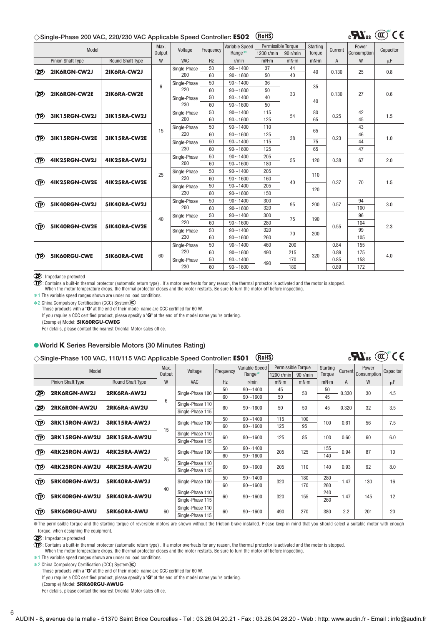#### **Single-Phase 200 VAC, 220/230 VAC Applicable Speed Controller: ES02**

| $_{\rm c}$ $\mathbf{M}_{\rm us}$ (cx) |  |  |
|---------------------------------------|--|--|
|                                       |  |  |

 $\mathbf{R}^{\circ}$  (a)  $\mathbf{C}^{\circ}$  (e)

|                | Model                    |                         | Max.   | Voltage      | Frequency   | Variable Speed      | Permissible Torque |          | Starting | Current | Power       | Capacitor |
|----------------|--------------------------|-------------------------|--------|--------------|-------------|---------------------|--------------------|----------|----------|---------|-------------|-----------|
|                |                          |                         | Output |              |             | Range <sup>*1</sup> | 1200 r/min         | 90 r/min | Torque   |         | Consumption |           |
|                | <b>Pinion Shaft Type</b> | <b>Round Shaft Type</b> | W      | <b>VAC</b>   | Hz          | r/min               | mN·m               | mN·m     | mN·m     | A       | W           | μF        |
| $^{\circledR}$ | 2IK6RGN-CW2J             | 2IK6RA-CW2J             |        | Single-Phase | 50          | $90 - 1400$         | 37                 | 44       | 40       | 0.130   | 25          | 0.8       |
|                |                          |                         |        | 200          | 60          | $90 - 1600$         | 50                 | 40       |          |         |             |           |
|                |                          |                         | 6      | Single-Phase | 50          | $90 - 1400$         | 36                 |          | 35       |         |             |           |
| <b>ZP</b>      | 2IK6RGN-CW2E             | 2IK6RA-CW2E             |        | 220          | 60          | $90 - 1600$         | 50                 | 33       |          | 0.130   | 27          | 0.6       |
|                |                          |                         |        | Single-Phase | 50          | $90 - 1400$         | 40                 |          | 40       |         |             |           |
|                |                          |                         |        | 230          | 60          | $90 - 1600$         | 50                 |          |          |         |             |           |
| <b>TP</b>      | 3IK15RGN-CW2J            | 3IK15RA-CW2J            |        | Single-Phase | 50          | $90 - 1400$         | 115                | 54       | 80       | 0.25    | 42          | 1.5       |
|                |                          |                         |        | 200          | 60          | $90 - 1600$         | 125                |          | 65       |         | 45          |           |
|                |                          |                         | 15     | Single-Phase | 50          | $90 - 1400$         | 110                |          | 65       |         | 43          |           |
| <b>TP</b>      | 3IK15RGN-CW2E            | 3IK15RA-CW2E            |        | 220          | 60          | $90 - 1600$         | 125                | 38       |          | 0.23    | 46          | 1.0       |
|                |                          |                         |        | Single-Phase | 50          | $90 - 1400$         | 115                |          | 75       |         | 44          |           |
|                |                          |                         |        | 230          | 60          | $90 - 1600$         | 125                |          | 65       |         | 47          |           |
| œ              | 4IK25RGN-CW2J            | 4IK25RA-CW2J            |        | Single-Phase | 50          | $90 - 1400$         | 205                | 55       | 120      | 0.38    | 67          | 2.0       |
|                |                          |                         |        | 200          | 60          | $90 - 1600$         | 180                |          |          |         |             |           |
|                |                          |                         | 25     | Single-Phase | 50          | $90 - 1400$         | 205                | 40       | 110      | 0.37    |             |           |
| <b>TP</b>      | 4IK25RGN-CW2E            | 4IK25RA-CW2E            |        | 220          | 60          | $90 - 1600$         | 160                |          |          |         | 70          | 1.5       |
|                |                          |                         |        | Single-Phase | 50          | $90 - 1400$         | 205                |          | 120      |         |             |           |
|                |                          |                         |        | 230          | 60          | $90 - 1600$         | 150                |          |          |         |             |           |
| <b>IP</b>      | 5IK40RGN-CW2J            | 5IK40RA-CW2J            |        | Single-Phase | 50          | $90 - 1400$         | 300                | 95       | 200      | 0.57    | 94          | 3.0       |
|                |                          |                         |        | 200          | 60          | $90 - 1600$         | 320                |          |          |         | 100         |           |
|                |                          |                         | 40     | Single-Phase | 50          | $90 - 1400$         | 300                | 75       | 190      |         | 96          |           |
| <b>TP</b>      | 5IK40RGN-CW2E            | 5IK40RA-CW2E            |        | 220          | 60          | $90 - 1600$         | 280                |          |          | 0.55    | 104         | 2.3       |
|                |                          |                         |        | Single-Phase | 50          | $90 - 1400$         | 320                | 70       | 200      |         | 99          |           |
|                |                          |                         |        | 230          | 60          | $90 - 1600$         | 260                |          |          |         | 105         |           |
|                |                          |                         |        | Single-Phase | 50          | $90 - 1400$         | 460                | 200      |          | 0.84    | 155         |           |
| œ              | <b>5IK60RGU-CWE</b>      | 5IK60RA-CWE             | 60     | 220          | 60          | $90 - 1600$         | 490                | 215      | 320      | 0.89    | 175         | 4.0       |
|                |                          |                         |        | Single-Phase | 50          | $90 - 1400$         | 490                | 170      |          | 0.85    | 158         |           |
|                |                          |                         | 230    | 60           | $90 - 1600$ |                     | 180                |          | 0.89     | 172     |             |           |

: Impedance protected

: Contains a built-in thermal protector (automatic return type) . If a motor overheats for any reason, the thermal protector is activated and the motor is stopped.

When the motor temperature drops, the thermal protector closes and the motor restarts. Be sure to turn the motor off before inspecting.

**∗1** The variable speed ranges shown are under no load conditions.

**∗2 China Compulsory Certification (CCC) System** 

Those products with a "**G**" at the end of their model name are CCC certified for 60 W.

If you require a CCC certified product, please specify a "**G**" at the end of the model name you're ordering.

(Example) Model: **5IK60RGU-CWEG**

For details, please contact the nearest Oriental Motor sales office.

#### **World K Series Reversible Motors (30 Minutes Rating)**

#### **Single-Phase 100 VAC, 110/115 VAC Applicable Speed Controller: ES01**

| $\vee$ only to have too mo, then the monophousic opeca controller. |                          |                         |                  |                  |             |                     |                    |          |          |         |             |           |
|--------------------------------------------------------------------|--------------------------|-------------------------|------------------|------------------|-------------|---------------------|--------------------|----------|----------|---------|-------------|-----------|
|                                                                    | Model                    |                         | Max.             | Voltage          | Frequency   | Variable Speed      | Permissible Torque |          | Starting | Current | Power       | Capacitor |
|                                                                    |                          |                         | Output           |                  |             | Range <sup>*1</sup> | 1200 r/min         | 90 r/min | Torque   |         | Consumption |           |
|                                                                    | <b>Pinion Shaft Type</b> | <b>Round Shaft Type</b> | W                | <b>VAC</b>       | Hz          | $r/m$ in            | mN·m               | mN·m     | mN·m     | A       | W           | $\mu$ F   |
| <b>ZP</b>                                                          | 2RK6RGN-AW2J             | 2RK6RA-AW2J             |                  | Single-Phase 100 | 50          | $90 - 1400$         | 45                 | 50       | 50       | 0.330   | 30          | 4.5       |
|                                                                    |                          |                         | 6                |                  | 60          | $90 - 1600$         | 50                 |          | 45       |         |             |           |
| $\left( 2\mathsf{P}\right)$                                        | 2RK6RGN-AW2U             | 2RK6RA-AW2U             | Single-Phase 110 | 60               | $90 - 1600$ | 50                  | 50                 | 45       | 0.320    | 32      | 3.5         |           |
|                                                                    |                          |                         |                  | Single-Phase 115 |             |                     |                    |          |          |         |             |           |
| (TP)                                                               | 3RK15RGN-AW2J            | 3RK15RA-AW2J            |                  | Single-Phase 100 | 50          | $90 - 1400$         | 115                | 100      | 100      | 0.61    | 56          | 7.5       |
|                                                                    |                          |                         | 15               |                  | 60          | $90 - 1600$         | 125                | 95       |          |         |             |           |
|                                                                    | 3RK15RGN-AW2U            | 3RK15RA-AW2U            |                  | Single-Phase 110 | 60          |                     |                    | 85       | 100      | 0.60    | 60          |           |
| (TP)                                                               |                          |                         |                  | Single-Phase 115 |             | $90 - 1600$         | 125                |          |          |         |             | 6.0       |
| <b>TP</b>                                                          | 4RK25RGN-AW2J            | 4RK25RA-AW2J            |                  |                  | 50          | $90 - 1400$         |                    | 125      | 155      | 0.94    | 87          | 10        |
|                                                                    |                          |                         | 25               | Single-Phase 100 | 60          | $90 - 1600$         | 205                |          | 140      |         |             |           |
| (TP)                                                               | 4RK25RGN-AW2U            | 4RK25RA-AW2U            |                  | Single-Phase 110 | 60          |                     | 205                |          | 140      | 0.93    | 92          |           |
|                                                                    |                          |                         |                  | Single-Phase 115 |             | $90 - 1600$         |                    | 110      |          |         |             | 8.0       |
|                                                                    |                          |                         |                  |                  | 50          | $90 - 1400$         |                    | 180      | 280      |         |             |           |
| Œ                                                                  | 5RK40RGN-AW2J            | 5RK40RA-AW2J            |                  | Single-Phase 100 | 60          | $90 - 1600$         | 320                | 170      | 260      | 1.47    | 130         | 16        |
|                                                                    |                          |                         | 40               | Single-Phase 110 |             |                     |                    |          | 240      |         |             |           |
| <b>TP</b>                                                          | 5RK40RGN-AW2U            | 5RK40RA-AW2U            |                  | Single-Phase 115 | 60          | $90 - 1600$         | 320                | 155      | 260      | 1.47    | 145         | 12        |
|                                                                    |                          |                         |                  | Single-Phase 110 |             |                     |                    |          |          |         |             |           |
| <b>TP</b><br>5RK60RGU-AWU<br>5RK60RA-AWU                           |                          | 60                      | Single-Phase 115 | 60               | $90 - 1600$ | 490                 | 270                | 380      | 2.2      | 201     | 20          |           |
|                                                                    |                          |                         |                  |                  |             |                     |                    |          |          |         |             |           |

The permissible torque and the starting torque of reversible motors are shown without the friction brake installed. Please keep in mind that you should select a suitable motor with enough torque, when designing the equipment.

: Impedance protected

: Contains a built-in thermal protector (automatic return type) . If a motor overheats for any reason, the thermal protector is activated and the motor is stopped. When the motor temperature drops, the thermal protector closes and the motor restarts. Be sure to turn the motor off before inspecting.

**∗1** The variable speed ranges shown are under no load conditions.

**∗2 China Compulsory Certification (CCC) System** 

Those products with a "**G**" at the end of their model name are CCC certified for 60 W.

If you require a CCC certified product, please specify a "**G**" at the end of the model name you're ordering.

(Example) Model: **5RK60RGU-AWUG**

For details, please contact the nearest Oriental Motor sales office.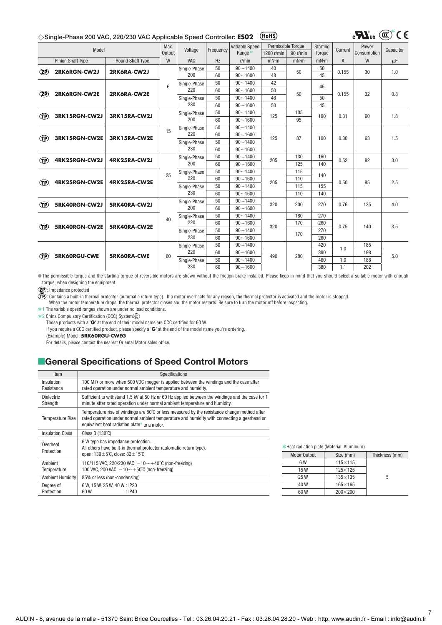#### **Single-Phase 200 VAC, 220/230 VAC Applicable Speed Controller: ES02**

|                                                | $(\alpha)$ |  |
|------------------------------------------------|------------|--|
| $\mathbf{c}$ and $\mathbf{u}$ and $\mathbf{u}$ |            |  |

| Model          |                           | Max.                    | Voltage | Frequency    | <b>Variable Speed</b> | Permissible Toraue  |            | Starting | Current | Power          | Capacitor   |         |
|----------------|---------------------------|-------------------------|---------|--------------|-----------------------|---------------------|------------|----------|---------|----------------|-------------|---------|
|                |                           |                         | Output  |              |                       | Range <sup>*1</sup> | 1200 r/min | 90 r/min | Torque  |                | Consumption |         |
|                | <b>Pinion Shaft Type</b>  | <b>Round Shaft Type</b> | W       | <b>VAC</b>   | Hz                    | r/min               | mN·m       | mN·m     | mN·m    | $\overline{A}$ | W           | $\mu$ F |
| $\mathcal{P}$  | 2RK6RGN-CW2J              | 2RK6RA-CW2J             |         | Single-Phase | 50                    | $90 - 1400$         | 40         | 50       | 50      | 0.155          | 30          | 1.0     |
|                |                           |                         |         | 200          | 60                    | $90 - 1600$         | 48         |          | 45      |                |             |         |
|                |                           |                         | 6       | Single-Phase | 50                    | $90 - 1400$         | 42         |          | 45      |                |             |         |
| $\mathbb{Z}P$  | 2RK6RGN-CW2E              | 2RK6RA-CW2E             |         | 220          | 60                    | $90 - 1600$         | 50         | 50       |         | 0.155          | 32          | 0.8     |
|                |                           |                         |         | Single-Phase | 50                    | $90 - 1400$         | 46         |          | 50      |                |             |         |
|                |                           |                         |         | 230          | 60                    | $90 - 1600$         | 50         |          | 45      |                |             |         |
| $^{\circledR}$ | 3RK15RGN-CW2J             | 3RK15RA-CW2J            |         | Single-Phase | 50                    | $90 - 1400$         | 125        | 105      | 100     | 0.31           | 60          | 1.8     |
|                |                           |                         |         | 200          | 60                    | $90 - 1600$         |            | 95       |         |                |             |         |
|                |                           |                         | 15      | Single-Phase | 50                    | $90 - 1400$         |            |          |         |                |             |         |
| <b>TP</b>      | 3RK15RGN-CW2E             | 3RK15RA-CW2E            |         | 220          | 60                    | $90 - 1600$         | 125        | 87       | 100     | 0.30           | 63          | 1.5     |
|                |                           |                         |         | Single-Phase | 50                    | $90 - 1400$         |            |          |         |                |             |         |
|                |                           |                         |         | 230          | 60                    | $90 - 1600$         |            |          |         |                |             |         |
| <b>TP</b>      | 4RK25RGN-CW2J             | 4RK25RA-CW2J            |         | Single-Phase | 50                    | $90 - 1400$         | 205        | 130      | 160     | 0.52           | 92          | 3.0     |
|                |                           |                         |         | 200          | 60                    | $90 - 1600$         |            | 125      | 140     |                |             |         |
|                |                           |                         | 25      | Single-Phase | 50                    | $90 - 1400$         |            | 115      | 140     |                |             |         |
| <b>TP</b>      | 4RK25RGN-CW2E             | 4RK25RA-CW2E            |         | 220          | 60                    | $90 - 1600$         | 205        | 110      |         | 0.50           | 95          | 2.5     |
|                |                           |                         |         | Single-Phase | 50                    | $90 - 1400$         |            | 115      | 155     |                |             |         |
|                |                           |                         |         | 230          | 60                    | $90 - 1600$         |            | 110      | 140     |                |             |         |
| œ              | 5RK40RGN-CW2J             | 5RK40RA-CW2J            |         | Single-Phase | 50                    | $90 - 1400$         | 320        | 200      | 270     | 0.76           | 135         | 4.0     |
|                |                           |                         |         | 200          | 60                    | $90 - 1600$         |            |          |         |                |             |         |
|                |                           |                         | 40      | Single-Phase | 50                    | $90 - 1400$         |            | 180      | 270     |                |             |         |
| <b>TP</b>      | 5RK40RGN-CW2E             | 5RK40RA-CW2E            |         | 220          | 60                    | $90 - 1600$         | 320        | 170      | 260     | 0.75           | 140         | 3.5     |
|                |                           |                         |         | Single-Phase | 50                    | $90 - 1400$         |            | 170      | 270     |                |             |         |
|                |                           |                         |         | 230          | 60                    | $90 - 1600$         |            |          | 260     |                |             |         |
|                |                           |                         |         | Single-Phase | 50                    | $90 - 1400$         |            |          | 420     | 1.0            | 185         |         |
|                |                           |                         | 60      | 220          | 60                    | $90 - 1600$         |            | 280      | 380     |                | 198         | 5.0     |
|                | <b>TP</b><br>5RK60RGU-CWE | 5RK60RA-CWE             |         | Single-Phase | 50                    | $90 - 1400$         | 490        |          | 460     | 1.0            | 188         |         |
|                |                           |                         | 230     | 60           | $90 - 1600$           |                     |            | 380      | 1.1     | 202            |             |         |

The permissible torque and the starting torque of reversible motors are shown without the friction brake installed. Please keep in mind that you should select a suitable motor with enough torque, when designing the equipment.

: Impedance protected

: Contains a built-in thermal protector (automatic return type) . If a motor overheats for any reason, the thermal protector is activated and the motor is stopped.<br>When the motor temperature drops, the thermal protector cl

**∗1** The variable speed ranges shown are under no load conditions.

**∗2 China Compulsory Certification (CCC) System** 

Those products with a "**G**" at the end of their model name are CCC certified for 60 W.

If you require a CCC certified product, please specify a "**G**" at the end of the model name you're ordering.

(Example) Model: **5RK60RGU-CWEG**

For details, please contact the nearest Oriental Motor sales office.

# **E**General Specifications of Speed Control Motors

| Item                          | Specifications                                                                                                                                                                                                                                        |
|-------------------------------|-------------------------------------------------------------------------------------------------------------------------------------------------------------------------------------------------------------------------------------------------------|
| Insulation<br>Resistance      | 100 M $\Omega$ or more when 500 VDC megger is applied between the windings and the case after<br>rated operation under normal ambient temperature and humidity.                                                                                       |
| <b>Dielectric</b><br>Strength | Sufficient to withstand 1.5 kV at 50 Hz or 60 Hz applied between the windings and the case for 1<br>minute after rated operation under normal ambient temperature and humidity.                                                                       |
| <b>Temperature Rise</b>       | Temperature rise of windings are $80^{\circ}$ C or less measured by the resistance change method after<br>rated operation under normal ambient temperature and humidity with connecting a gearhead or<br>equivalent heat radiation plate* to a motor. |
| <b>Insulation Class</b>       | Class B $(130^{\circ}C)$                                                                                                                                                                                                                              |
| Overheat<br>Protection        | 6 W type has impedance protection.<br>All others have built-in thermal protector (automatic return type).<br>open: $130 \pm 5^{\circ}$ C, close: $82 \pm 15^{\circ}$ C                                                                                |
| Ambient<br>Temperature        | 110/115 VAC, 220/230 VAC: $-10$ $\sim$ $+40^{\circ}$ C (non-freezing)<br>100 VAC, 200 VAC: $-10 \sim +50^{\circ}$ C (non-freezing)                                                                                                                    |
| <b>Ambient Humidity</b>       | 85% or less (non-condensing)                                                                                                                                                                                                                          |
| Degree of<br>Protection       | 6 W, 15 W, 25 W, 40 W: IP20<br>60 W<br>: IP40                                                                                                                                                                                                         |

| * Heat radiation plate (Material: Aluminum) |                  |                |
|---------------------------------------------|------------------|----------------|
| <b>Motor Output</b>                         | Size (mm)        | Thickness (mm) |
| 6 W                                         | $115 \times 115$ |                |
| 15W                                         | $125\times125$   |                |
| 25 W                                        | $135\times135$   | 5              |
| 40 W                                        | $165\times165$   |                |
| 60 W                                        | $200 \times 200$ |                |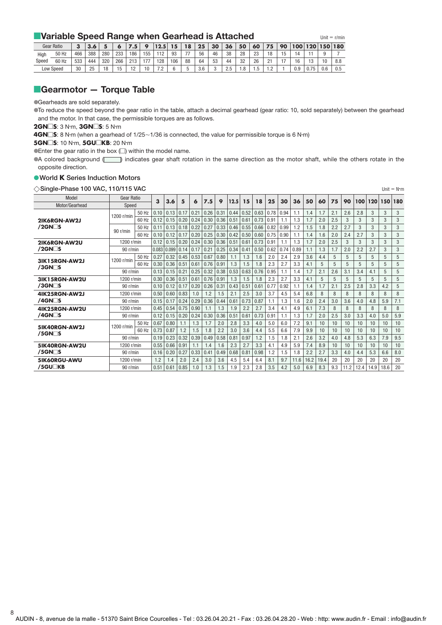# **Example Speed Range when Gearhead is Attached** *Unit* **= r/min**

|       | <b>Gear Ratio</b> | ν   |     |     |     |                 |           | 12.5                                       | 15. | 18                       | 25  | 30 | 36                                          | 50   | 60   | 75                   | 90 | 100 | 120                  |     | 150 180 |
|-------|-------------------|-----|-----|-----|-----|-----------------|-----------|--------------------------------------------|-----|--------------------------|-----|----|---------------------------------------------|------|------|----------------------|----|-----|----------------------|-----|---------|
| High  | 50 Hz             | 466 | 388 | 280 | 233 | 186             | 155<br>ບປ | 119                                        | 93  | $\overline{\phantom{a}}$ | 56  | 46 | 38                                          | 28   | 23   | 18                   | ັ  | ۱4  |                      |     |         |
| Speed | 60 Hz             | 533 | 444 | 320 | 266 | 213             | $-1$      | 128                                        | 106 | 88                       | 64  | 53 | 44                                          | 32   | 26   | $\Omega$<br><u>.</u> |    | 16  | $\overline{A}$<br>∣ປ |     | 8.8     |
|       | Low Speed         | 30  | クロ  | 18  | 15  | $\overline{10}$ | 10        | 7 <sub>0</sub><br>$\overline{\phantom{a}}$ |     |                          | 3.6 |    | $\Omega$<br>$\overline{\phantom{0}}$<br>ں ے | 8. ا | ں. ا | $\sim$               |    | 0.9 | 0.75                 | 0.6 | 0.5     |

# **Gearmotor – Torque Table**

Gearheads are sold separately.

To reduce the speed beyond the gear ratio in the table, attach a decimal gearhead (gear ratio: 10, sold separately) between the gearhead and the motor. In that case, the permissible torques are as follows.

**2GN** $\square$ **S**: 3 N⋅m, **3GN** $\square$ **S**: 5 N⋅m

**4GN□S**: 8 N⋅m (when a gearhead of 1/25∼1/36 is connected, the value for permissible torque is 6 N⋅m)

#### **5GN** $\square$ **S**: 10 N⋅m, **5GU** $\square$ **KB**: 20 N⋅m

 $\bullet$  Enter the gear ratio in the box  $\Box$ ) within the model name.

A colored background (iiid) indicates gear shaft rotation in the same direction as the motor shaft, while the others rotate in the opposite direction.

#### **World K Series Induction Motors**

8

| $\Diamond$ Single-Phase 100 VAC, 110/115 VAC<br>Unit = $N \cdot m$ |              |       |       |       |      |      |      |      |      |      |      |      |      |      |      |      |     |      |      |      |      |     |
|--------------------------------------------------------------------|--------------|-------|-------|-------|------|------|------|------|------|------|------|------|------|------|------|------|-----|------|------|------|------|-----|
| Model                                                              | Gear Ratio   |       | 3     | 3.6   | 5    | 6    | 7.5  | 9    | 12.5 | 15   | 18   | 25   | 30   | 36   | 50   | 60   | 75  | 90   | 100  | 120  | 150  | 180 |
| Motor/Gearhead                                                     | Speed        |       |       |       |      |      |      |      |      |      |      |      |      |      |      |      |     |      |      |      |      |     |
|                                                                    | 1200 r/min   | 50 Hz | 0.10  | 0.13  | 0.17 | 0.21 | 0.26 | 0.31 | 0.44 | 0.52 | 0.63 | 0.78 | 0.94 | 1.1  | 1.4  | 1.7  | 2.1 | 2.6  | 2.8  | 3    | 3    | 3   |
| 2IK6RGN-AW2J                                                       |              | 60 Hz | 0.12  | 0.15  | 0.20 | 0.24 | 0.30 | 0.36 | 0.51 | 0.61 | 0.73 | 0.91 | 1.1  | 1.3  | 1.7  | 2.0  | 2.5 | 3    | 3    | 3    | 3    | 3   |
| $/2$ GN $\Box$ S                                                   | 90 r/min     | 50 Hz | 0.11  | 0.13  | 0.18 | 0.22 | 0.27 | 0.33 | 0.46 | 0.55 | 0.66 | 0.82 | 0.99 | 1.2  | 1.5  | 1.8  | 2.2 | 2.7  | 3    | 3    | 3    | 3   |
|                                                                    |              | 60 Hz | 0.10  | 0.12  | 0.17 | 0.20 | 0.25 | 0.30 | 0.42 | 0.50 | 0.60 | 0.75 | 0.90 | 1.1  | 1.4  | 1.6  | 2.0 | 2.4  | 2.7  | 3    | 3    | 3   |
| 2IK6RGN-AW2U                                                       | 1200 r/min   |       | 0.12  | 0.15  | 0.20 | 0.24 | 0.30 | 0.36 | 0.51 | 0.61 | 0.73 | 0.91 | 1.1  | 1.3  | 1.7  | 2.0  | 2.5 | 3    | 3    | 3    | 3    | 3   |
| $/2$ GN $\Box$ S                                                   | 90 r/min     |       | 0.083 | 0.099 | 0.14 | 0.17 | 0.21 | 0.25 | 0.34 | 0.41 | 0.50 | 0.62 | 0.74 | 0.89 | 1.1  | 1.3  | 1.7 | 2.0  | 2.2  | 2.7  | 3    | 3   |
| 3IK15RGN-AW2J                                                      | 1200 r/min   | 50 Hz | 0.27  | 0.32  | 0.45 | 0.53 | 0.67 | 0.80 | 1.1  | 1.3  | 1.6  | 2.0  | 2.4  | 2.9  | 3.6  | 4.4  | 5   | 5    | 5    | 5    | 5    | 5   |
| $/3$ GN $\Box$ S                                                   |              | 60 Hz | 0.30  | 0.36  | 0.51 | 0.61 | 0.76 | 0.91 | 1.3  | 1.5  | 1.8  | 2.3  | 2.7  | 3.3  | 4.1  | 5    | 5   | 5    | 5    | 5    | 5    | 5   |
|                                                                    | 90 r/min     |       | 0.13  | 0.15  | 0.21 | 0.25 | 0.32 | 0.38 | 0.53 | 0.63 | 0.76 | 0.95 | 1.1  | 1.4  | 1.7  | 2.1  | 2.6 | 3.1  | 3.4  | 4.1  | 5    | 5   |
| 3IK15RGN-AW2U                                                      | 1200 r/min   |       | 0.30  | 0.36  | 0.51 | 0.61 | 0.76 | 0.91 | 1.3  | 1.5  | 1.8  | 2.3  | 2.7  | 3.3  | 4.1  | 5    | 5   | 5    | 5    | 5    | 5    | 5   |
| $/3$ GN $\Box$ S                                                   | 90 r/min     |       | 0.10  | 0.12  | 0.17 | 0.20 | 0.26 | 0.31 | 0.43 | 0.51 | 0.61 | 0.77 | 0.92 | 1.1  | 1.4  | 1.7  | 2.1 | 2.5  | 2.8  | 3.3  | 4.2  | 5   |
| 4IK25RGN-AW2J                                                      | 1200 r/min   |       | 0.50  | 0.60  | 0.83 | 1.0  | 1.2  | 1.5  | 2.1  | 2.5  | 3.0  | 3.7  | 4.5  | 5.4  | 6.8  | 8    | 8   | 8    | 8    | 8    | 8    | 8   |
| $/4$ GN $\Box$ S                                                   | 90 r/min     |       | 0.15  | 0.17  | 0.24 | 0.29 | 0.36 | 0.44 | 0.61 | 0.73 | 0.87 | 1.1  | 1.3  | 1.6  | 2.0  | 2.4  | 3.0 | 3.6  | 4.0  | 4.8  | 5.9  | 7.1 |
| 4IK25RGN-AW2U                                                      | 1200 r/min   |       | 0.45  | 0.54  | 0.75 | 0.90 | 1.1  | 1.3  | 1.9  | 2.2  | 2.7  | 3.4  | 4.1  | 4.9  | 6.1  | 7.3  | 8   | 8    | 8    | 8    | 8    | 8   |
| $/4$ GN $\Box$ S                                                   | 90 r/min     |       | 0.12  | 0.15  | 0.20 | 0.24 | 0.30 | 0.36 | 0.51 | 0.61 | 0.73 | 0.91 | 1.1  | 1.3  | 1.7  | 2.0  | 2.5 | 3.0  | 3.3  | 4.0  | 5.0  | 5.9 |
| 5IK40RGN-AW2J                                                      | 1200 r/min   | 50 Hz | 0.67  | 0.80  | 1.1  | 1.3  | 1.7  | 2.0  | 2.8  | 3.3  | 4.0  | 5.0  | 6.0  | 7.2  | 9.1  | 10   | 10  | 10   | 10   | 10   | 10   | 10  |
| $/5$ GN $\Box$ S                                                   |              | 60 Hz | 0.73  | 0.87  | 1.2  | 1.5  | 1.8  | 2.2  | 3.0  | 3.6  | 4.4  | 5.5  | 6.6  | 7.9  | 9.9  | 10   | 10  | 10   | 10   | 10   | 10   | 10  |
|                                                                    | 90 r/min     | 0.19  | 0.23  | 0.32  | 0.39 | 0.49 | 0.58 | 0.81 | 0.97 | 1.2  | 1.5  | 1.8  | 2.1  | 2.6  | 3.2  | 4.0  | 4.8 | 5.3  | 6.3  | 7.9  | 9.5  |     |
| 5IK40RGN-AW2U                                                      | $1200$ r/min |       | 0.55  | 0.66  | 0.91 | 1.1  | 1.4  | 1.6  | 2.3  | 2.7  | 3.3  | 4.1  | 4.9  | 5.9  | 7.4  | 8.9  | 10  | 10   | 10   | 10   | 10   | 10  |
| /5GN⊟S                                                             | 90 r/min     |       | 0.16  | 0.20  | 0.27 | 0.33 | 0.41 | 0.49 | 0.68 | 0.81 | 0.98 | 1.2  | 1.5  | 1.8  | 2.2  | 2.7  | 3.3 | 4.0  | 4.4  | 5.3  | 6.6  | 8.0 |
| 5IK60RGU-AWU                                                       | 1200 r/min   |       | 1.2   | 1.4   | 2.0  | 2.4  | 3.0  | 3.6  | 4.5  | 5.4  | 6.4  | 8.1  | 9.7  | 11.6 | 16.2 | 19.4 | 20  | 20   | 20   | 20   | 20   | 20  |
| /5GU <sub>KB</sub>                                                 | 90 r/min     |       | 0.51  | 0.61  | 0.85 | 1.0  | 1.3  | 1.5  | 1.9  | 2.3  | 2.8  | 3.5  | 4.2  | 5.0  | 6.9  | 8.3  | 9.3 | 11.2 | 12.4 | 14.9 | 18.6 | 20  |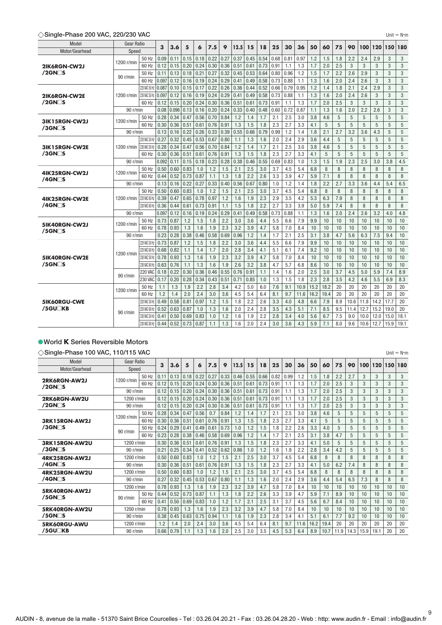#### **Single-Phase 200 VAC, 220/230 VAC** Unit Nm

|  |  |  | 'n |
|--|--|--|----|

9

| Gear Ratio<br>Model<br>3<br>3.6<br>7.5<br>12.5<br>25<br>30<br>36<br>50<br>5<br>9<br>6<br>15                                                        | 75  | 60   | 90   | 100          | 120  | 150  | 180          |
|----------------------------------------------------------------------------------------------------------------------------------------------------|-----|------|------|--------------|------|------|--------------|
| 18<br>Motor/Gearhead<br>Speed                                                                                                                      |     |      |      |              |      |      |              |
| 0.18<br>0.22<br>0.27<br>0.37<br>0.45<br>0.54<br>1.2<br>50 Hz<br>0.09<br>0.11<br>0.15<br>0.68<br>0.81<br>0.97                                       | 1.8 | 1.5  |      | 2.4<br>2.2   | 2.9  | 3    | $\mathbf{3}$ |
| 1200 r/min<br>60 Hz<br>0.24<br>0.36<br>0.73<br>1.3<br>1.7<br>0.12<br>0.15<br>0.20<br>0.30<br>0.51<br>0.61<br>0.91<br>1.1<br>2IK6RGN-CW2J           | 2.5 | 2.0  |      | 3<br>3       | 3    | 3    | 3            |
| $/2$ GN $\Box$ S<br>50 Hz<br>0.13<br>0.21<br>0.27<br>0.32<br>0.53<br>0.64<br>0.80<br>0.96<br>1.2<br>1.5<br>0.11<br>0.18<br>0.45                    | 2.2 | 1.7  |      | 2.6<br>2.9   | 3    | 3    | 3            |
| 90 r/min<br>0.097<br>0.12<br>0.19<br>0.29<br>0.58<br>0.73<br>0.88<br>1.3<br>60 Hz<br>0.16<br>0.24<br>0.41<br>0.49<br>1.1                           | 2.0 | 1.6  |      | 2.4<br>2.6   | 3    | 3    | 3            |
| 0.22<br>0.52<br>0.95<br>1.2<br>220 VAC 50 Hz<br>0.087<br>0.10<br>0.17<br>0.26<br>0.36<br>0.66<br>0.79<br>0.15<br>0.44                              | 1.8 | 1.4  | 2.1  | 2.4          | 2.9  | 3    | 3            |
| 0.24<br>0.29<br>0.58<br>0.88<br>1.3<br>1200 r/min<br>230 VAC 50 Hz<br>0.097<br>0.12<br>0.16<br>0.19<br>0.41<br>0.49<br>0.73<br>2IK6RGN-CW2E<br>1.1 | 2.0 | 1.6  | 2.4  | 2.6          | 3    | 3    | 3            |
| $/2$ GN $\Box$ S<br>0.15<br>0.24<br>0.30<br>0.36<br>0.51<br>0.73<br>1.3<br>1.7<br>60 Hz<br>0.12<br>0.20<br>0.61<br>0.91<br>1.1                     | 2.5 | 2.0  |      | 3<br>3       | 3    | 3    | 3            |
| 0.08<br>0.096<br>0.16<br>0.20<br>0.24<br>0.33<br>0.48<br>0.72<br>0.87<br>1.1<br>90 r/min<br>0.13<br>0.40<br>0.60                                   | 1.6 | 1.3  |      | 2.2<br>2.0   | 2.6  | 3    | 3            |
| 0.34<br>0.84<br>1.2<br>2.5<br>3.8<br>50 Hz<br>0.28<br>0.47<br>0.56<br>0.70<br>1.7<br>2.1<br>3.0<br>1.4                                             | 5   | 4.6  |      | 5<br>5       | 5    | 5    | 5            |
| $1200$ r/min<br>31K15RGN-CW2J<br>60 Hz<br>0.30<br>0.36<br>0.61<br>0.91<br>1.3<br>1.5<br>2.3<br>2.7<br>3.3<br>4.1<br>0.51<br>0.76<br>1.8            | 5   | 5    |      | 5<br>5       | 5    | 5    | 5            |
| $/3$ GN $\Box$ S<br>0.33<br>0.39<br>0.55<br>0.66<br>0.79<br>90 r/min<br>0.13<br>0.16<br>0.22<br>0.26<br>0.99<br>1.2<br>1.4<br>1.8                  | 2.7 | 2.1  |      | 3.2<br>3.6   | 4.3  | 5    | 5            |
| 220 VAC 50 Hz<br>0.27<br>0.32<br>3.6<br>0.45<br>0.53<br>0.67<br>0.80<br>1.3<br>1.6<br>2.0<br>2.4<br>2.9<br>1.1                                     | 5   | 4.4  |      | 5<br>5       | 5    | 5    | 5            |
| 230 VAC 50 Hz<br>0.28<br>0.34<br>0.56<br>0.70<br>0.84<br>1.2<br>2.1<br>2.5<br>3.8<br>0.47<br>1.4<br>1.7<br>3.0<br>1200 $r/min$<br>31K15RGN-CW2E    | 5   | 4.6  |      | 5<br>5       | 5    | 5    | 5            |
| $/3$ GN $\Box$ S<br>0.36<br>0.61<br>0.76<br>0.91<br>1.8<br>2.3<br>2.7<br>3.3<br>4.1<br>60 Hz<br>0.30<br>0.51<br>1.3<br>1.5                         | 5   | 5    |      | 5<br>5       | 5    | 5    | 5            |
| 0.092<br>0.11<br>0.18<br>0.23<br>0.28<br>0.38<br>0.46<br>0.55<br>90 r/min<br>0.15<br>0.69<br>0.83<br>1.0<br>1.3                                    | 1.9 | 1.5  | 2.3  | 2.5          | 3.0  | 3.8  | 4.5          |
| 50 Hz<br>0.50<br>0.60<br>0.83<br>1.0<br>1.2<br>1.5<br>2.1<br>2.5<br>3.0<br>3.7<br>4.5<br>5.4<br>6.8                                                | 8   | 8    |      | 8<br>8       | 8    | 8    | 8            |
| 1200 r/min<br>4IK25RGN-CW2J<br>60 Hz<br>0.52<br>0.87<br>1.3<br>2.2<br>3.3<br>0.44<br>0.73<br>1.8<br>2.6<br>3.9<br>4.7<br>5.9<br>1.1                | 8   | 7.1  |      | 8<br>8       | 8    | 8    | 8            |
| /4GN⊟S<br>0.22<br>0.27<br>0.33<br>0.56<br>0.80<br>90 r/min<br>0.13<br>0.16<br>0.40<br>0.67<br>1.0<br>1.2<br>1.4<br>1.8                             | 2.7 | 2.2  |      | 3.6<br>3.3   | 4.4  | 5.4  | 6.5          |
| 50 Hz<br>1.0<br>1.2<br>3.7<br>6.8<br>0.50<br>0.60<br>0.83<br>1.5<br>2.1<br>2.5<br>3.0<br>4.5<br>5.4                                                | 8   | 8    |      | 8<br>8       | 8    | 8    | 8            |
| 0.78<br>0.97<br>1.2<br>2.3<br>5.3<br>220 VAC 60 H<br>0.39<br>0.47<br>0.65<br>1.6<br>1.9<br>2.9<br>3.5<br>4.2<br>1200 r/min<br>41K25RGN-CW2E        | 7.9 | 6.3  |      | 8<br>8       | 8    | 8    | 8            |
| $/4$ GN $\Box$ S<br>1.1<br>2.2<br>5.0<br>0.44<br>0.73<br>0.91<br>1.5<br>1.8<br>2.7<br>3.3<br>3.9<br>230 VAC 60 Hz<br>0.36<br>0.61                  | 7.4 | 5.9  |      | 8<br>8       | 8    | 8    | 8            |
| 0.097<br>0.12<br>0.19<br>0.24<br>0.29<br>0.49<br>0.58<br>0.88<br>1.1<br>1.3<br>0.16<br>0.41<br>0.73<br>90 r/min                                    | 2.0 | 1.6  |      | 2.4<br>2.6   | 3.2  | 4.0  | 4.8          |
| 2.2<br>50 Hz<br>0.73<br>0.87<br>1.2<br>1.5<br>1.8<br>3.0<br>3.6<br>5.5<br>6.6<br>7.9<br>9.9<br>4.4                                                 | 10  | 10   |      | 10<br>10     | 10   | 10   | 10           |
| $1200$ r/min<br>5IK40RGN-CW2J<br>1.6<br>2.3<br>3.2<br>3.9<br>60 Hz<br>0.78<br>0.93<br>1.3<br>1.9<br>4.7<br>5.8<br>7.0<br>8.4<br>10                 | 10  | 10   |      | 10<br>10     | 10   | 10   | 10           |
| $/5$ GN $\Box$ S<br>1.2<br>2.1<br>2.5<br>3.1<br>0.23<br>0.28<br>0.38<br>0.46<br>0.58<br>0.69<br>0.96<br>1.4<br>1.7<br>90 r/min                     | 4.7 | 3.8  |      | 6.3<br>5.6   | 7.5  | 9.4  | 10           |
| 220 VAC 50 Hz<br>0.73<br>0.87<br>2.2<br>3.6<br>5.5<br>7.9<br>1.2<br>1.5<br>1.8<br>3.0<br>4.4<br>6.6<br>9.9                                         | 10  | 10   |      | 10<br>10     | 10   | 10   | 10           |
| 220 VAC 60 Hz<br>0.82<br>1.1<br>1.4<br>1.7<br>2.0<br>2.8<br>3.4<br>4.1<br>5.1<br>7.4<br>9.2<br>0.68<br>6.1                                         | 10  | 10   |      | 10<br>10     | 10   | 10   | 10           |
| 1200 r/min<br>0.93<br>2.3<br>230 VAC 50 Hz<br>0.78<br>1.3<br>1.6<br>1.9<br>3.2<br>3.9<br>4.7<br>5.8<br>7.0<br>8.4<br>10<br>5IK40RGN-CW2E           | 10  | 10   |      | 10<br>10     | 10   | 10   | 10           |
| /5GN⊟S<br>230 VAC 60 Hz<br>0.76<br>1.3<br>1.6<br>1.9<br>2.6<br>3.2<br>3.8<br>5.7<br>8.6<br>0.63<br>1.1<br>4.7<br>6.8                               | 10  | 10   |      | 10<br>10     | 10   | 10   | 10           |
| <b>220 VAC</b><br>0.18<br>0.22<br>0.30<br>0.36<br>0.46<br>0.55<br>0.76<br>0.91<br>2.0<br>2.5<br>1.1<br>1.6<br>1.4                                  | 3.7 | 3.0  |      | 5.0<br>4.5   | 5.9  | 7.4  | 8.9          |
| 90 r/min<br>2.3<br>0.34<br>0.51<br>1.8<br>230 VAC<br>0.17<br>0.20<br>0.28<br>0.43<br>0.71<br>0.85<br>1.0<br>1.3<br>1.5                             | 3.5 | 2.8  |      | 4.2<br>4.6   | 5.5  | 6.9  | 8.3          |
| 2.2<br>15.2<br>50 Hz<br>1.3<br>3.4<br>4.2<br>5.0<br>7.6<br>9.1<br>1.1<br>1.9<br>2.8<br>6.0<br>10.9                                                 | 20  | 18.2 |      | 20<br>20     | 20   | 20   | 20           |
| 1200 r/min<br>1.2<br>1.4<br>2.0<br>2.4<br>3.6<br>8.1<br>9.7<br>16.2<br>60 Hz<br>3.0<br>4.5<br>5.4<br>6.4<br>11.6                                   | 20  | 19.4 |      | 20<br>20     | 20   | 20   | 20           |
| 0.58<br>0.97<br>2.6<br>220 VAC 50 Hz<br>0.49<br>0.81<br>1.2<br>1.5<br>1.8<br>2.2<br>3.3<br>4.0<br>4.8<br>6.6<br>5IK60RGU-CWE                       | 8.9 | 7.9  |      | 10.6<br>11.8 | 14.2 | 17.7 | 20           |
| /5GU⊟KB<br>1.0<br>1.6<br>5.1<br>7.1<br>0.52<br>0.63<br>1.3<br>2.0<br>2.4<br>2.8<br>3.5<br>4.3<br>220 VAC 60 Hz<br>0.87                             | 9.5 | 8.5  | 11.4 | 12.7         | 15.2 | 19.0 | 20           |
| 90 r/min<br>0.83<br>1.2<br>1.9<br>2.2<br>2.8<br>3.4<br>5.6<br>230 VAC 50 Hz<br>0.41<br>0.50<br>0.69<br>1.0<br>1.6<br>4.0                           | 7.5 | 6.7  |      | 9.0<br>10.0  | 12.0 | 15.0 | 18.1         |
| 230 VAC 60 Hz<br>0.52<br>0.87<br>1.3<br>2.0<br>2.4<br>3.0<br>3.6<br>4.3<br>5.9<br>0.44<br>0.73<br>1.1<br>1.6                                       |     | 7.1  | 8.0  | 9.6<br>10.6  | 12.7 | 15.9 | 19.1         |

#### **World K Series Reversible Motors**

#### **Single-Phase 100 VAC, 110/115 VAC** Unit Nm

| Model                             | <b>Gear Ratio</b> |       | 3    |      |      |      | 7.5  | 9    | 12.5 | 15   | 18   | 25   |      |      | 50   |      | 75   | 90   | 100  |      | 150 | 180 |
|-----------------------------------|-------------------|-------|------|------|------|------|------|------|------|------|------|------|------|------|------|------|------|------|------|------|-----|-----|
| Motor/Gearhead                    | Speed             |       |      | 3.6  | 5    | 6    |      |      |      |      |      |      | 30   | 36   |      | 60   |      |      |      | 120  |     |     |
| 2RK6RGN-AW2J                      | 1200 r/min        | 50 Hz | 0.11 | 0.13 | 0.18 | 0.22 | 0.27 | 0.33 | 0.46 | 0.55 | 0.66 | 0.82 | 0.99 | 1.2  | 1.5  | 1.8  | 2.2  | 2.7  | 3    | 3    | 3   | 3   |
| $/2$ GN $\Box$ S                  |                   | 60 Hz | 0.12 | 0.15 | 0.20 | 0.24 | 0.30 | 0.36 | 0.51 | 0.61 | 0.73 | 0.91 | 1.1  | 1.3  | 1.7  | 2.0  | 2.5  | 3    | 3    | 3    | 3   | 3   |
|                                   | 90 r/min          |       | 0.12 | 0.15 | 0.20 | 0.24 | 0.30 | 0.36 | 0.51 | 0.61 | 0.73 | 0.91 | 1.1  | 1.3  | 1.7  | 2.0  | 2.5  | 3    | 3    | 3    | 3   | 3   |
| 2RK6RGN-AW2U                      | 1200 r/min        |       | 0.12 | 0.15 | 0.20 | 0.24 | 0.30 | 0.36 | 0.51 | 0.61 | 0.73 | 0.91 | 1.1  | 1.3  | 1.7  | 2.0  | 2.5  | 3    | 3    | 3    | 3   | 3   |
| /2GN⊟S                            | 90 r/min          |       | 0.12 | 0.15 | 0.20 | 0.24 | 0.30 | 0.36 | 0.51 | 0.61 | 0.73 | 0.91 | 1.1  | 1.3  | 1.7  | 2.0  | 2.5  | 3    | 3    | 3    | 3   | 3   |
|                                   | 1200 $r/m$ in     | 50 Hz | 0.28 | 0.34 | 0.47 | 0.56 | 0.7  | 0.84 | 1.2  | 1.4  | 1.7  | 2.1  | 2.5  | 3.0  | 3.8  | 4.6  | 5    | 5    | 5    | 5    | 5   | 5   |
| 3RK15RGN-AW2J                     |                   | 60 Hz | 0.30 | 0.36 | 0.51 | 0.61 | 0.76 | 0.91 | 1.3  | 1.5  | 1.8  | 2.3  | 2.7  | 3.3  | 4.1  | 5    | 5    | 5    | 5    | 5    | 5   | 5   |
| $/3$ GN $\Box$ S                  | 90 r/min          | 50 Hz | 0.24 | 0.29 | 0.41 | 0.49 | 0.61 | 0.73 | 1.0  | 1.2  | 1.5  | .8   | 2.2  | 2.6  | 3.3  | 4.0  | 5    | 5    | 5    | 5    | 5   | 5   |
|                                   |                   | 60 Hz | 0.23 | 0.28 | 0.38 | 0.46 | 0.58 | 0.69 | 0.96 | 1.2  | 1.4  | 1.7  | 2.1  | 2.5  | 3.1  | 3.8  | 4.7  | 5    | 5    | 5    | 5   | 5   |
| 3RK15RGN-AW2U                     | 1200 r/min        |       | 0.30 | 0.36 | 0.51 | 0.61 | 0.76 | 0.91 | 1.3  | 1.5  | 1.8  | 2.3  | 2.7  | 3.3  | 4.1  | 5.0  | 5    | 5    | 5    | 5    | 5   | 5   |
| $/3$ GN $\Box$ S                  | 90 r/min          |       | 0.21 | 0.25 | 0.34 | 0.41 | 0.52 | 0.62 | 0.86 | 1.0  | 1.2  | 1.6  | 1.9  | 2.2  | 2.8  | 3.4  | 4.2  | 5    | 5    | 5    | 5   | 5   |
| 4RK25RGN-AW2J                     | 1200 r/min        |       | 0.50 | 0.60 | 0.83 | 1.0  | 1.2  | 1.5  | 2.1  | 2.5  | 3.0  | 3.7  | 4.5  | 5.4  | 6.8  | 8    | 8    | 8    | 8    | 8    | 8   | 8   |
| $/4$ GN $\Box$ S                  | 90 r/min          |       | 0.30 | 0.36 | 0.51 | 0.61 | 0.76 | 0.91 | 1.3  | 1.5  | 1.8  | 2.3  | 2.7  | 3.3  | 4.1  | 5.0  | 6.2  | 7.4  | 8    | 8    | 8   | 8   |
| 4RK25RGN-AW2U                     | 1200 r/min        |       | 0.50 | 0.60 | 0.83 | 1.0  | 1.2  | 1.5  | 2.1  | 2.5  | 3.0  | 3.7  | 4.5  | 5.4  | 6.8  | 8    | 8    | 8    | 8    | 8    | 8   | 8   |
| $/4$ GN $\Box$ S                  | 90 r/min          |       | 0.27 | 0.32 | 0.45 | 0.53 | 0.67 | 0.80 | 1.1  | 1.3  | 1.6  | 2.0  | 2.4  | 2.9  | 3.6  | 4.4  | 5.4  | 6.5  | 7.3  | 8    | 8   | 8   |
|                                   | 1200 r/min        |       | 0.78 | 0.93 | 1.3  | 1.6  | 1.9  | 2.3  | 3.2  | 3.9  | 4.7  | 5.8  | 7.0  | 8.4  | 10   | 10   | 10   | 10   | 10   | 10   | 10  | 10  |
| 5RK40RGN-AW2J<br>$/5$ GN $\Box$ S | 90 r/min          | 50 Hz | 0.44 | 0.52 | 0.73 | 0.87 | 1.1  | 1.3  | 1.8  | 2.2  | 2.6  | 3.3  | 3.9  | 4.7  | 5.9  | 7.1  | 8.9  | 10   | 10   | 10   | 10  | 10  |
|                                   |                   | 60 Hz | 0.41 | 0.50 | 0.69 | 0.83 | 1.0  | 1.2  | 1.7  | 2.1  | 2.5  | 3.1  | 3.7  | 4.5  | 5.6  | 6.7  | 8.4  | 10   | 10   | 10   | 10  | 10  |
| 5RK40RGN-AW2U                     | 1200 r/min        |       | 0.78 | 0.93 | 1.3  | 1.6  | 1.9  | 2.3  | 3.2  | 3.9  | 4.7  | 5.8  | 7.0  | 8.4  | 10   | 10   | 10   | 10   | 10   | 10   | 10  | 10  |
| $/5$ GN $\Box$ S                  | 90 r/min          |       | 0.38 | 0.45 | 0.63 | 0.75 | 0.94 | 1.1  | 1.6  | 1.9  | 2.3  | 2.8  | 3.4  | 4.1  | 5.1  | 6.1  | 7.7  | 9.2  | 10   | 10   | 10  | 10  |
| 5RK60RGU-AWU                      | 1200 r/min        |       | 1.2  | 1.4  | 2.0  | 2.4  | 3.0  | 3.6  | 4.5  | 5.4  | 6.4  | 8.1  | 9.7  | 11.6 | 16.2 | 19.4 | 20   | 20   | 20   | 20   | 20  | 20  |
| /5GU□KB                           | 90 r/min          |       | 0.66 | 0.79 | 1.1  | 1.3  | 1.6  | 2.0  | 2.5  | 3.0  | 3.5  | 4.5  | 5.3  | 6.4  | 8.9  | 10.7 | 11.9 | 14.3 | 15.9 | 19.1 | 20  | 20  |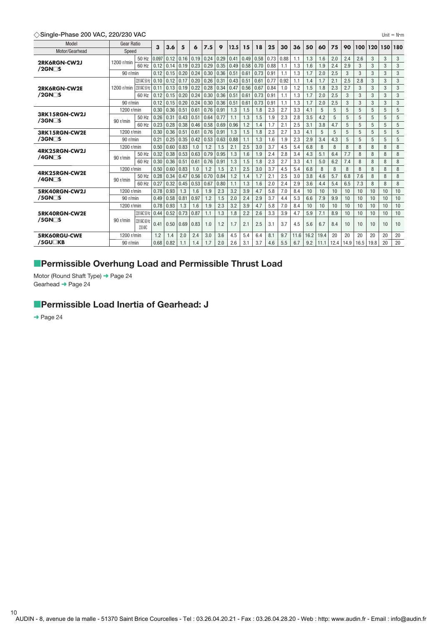**Single-Phase 200 VAC, 220/230 VAC** Unit Nm

| l Init | N•m |  |
|--------|-----|--|
|        |     |  |

| Model              | <b>Gear Ratio</b> |                          |       | 3.6<br>3 | 5    | 6    | 7.5  | 9    | 12.5 | 15   | 18   | 25   | 30   | 36   | 50   | 60   | 75   | 90   | 100  | 120  | 150 | 180            |
|--------------------|-------------------|--------------------------|-------|----------|------|------|------|------|------|------|------|------|------|------|------|------|------|------|------|------|-----|----------------|
| Motor/Gearhead     | Speed             |                          |       |          |      |      |      |      |      |      |      |      |      |      |      |      |      |      |      |      |     |                |
| 2RK6RGN-CW2J       | 1200 r/min        | 50 Hz                    | 0.097 | 0.12     | 0.16 | 0.19 | 0.24 | 0.29 | 0.41 | 0.49 | 0.58 | 0.73 | 0.88 | 1.1  | 1.3  | 1.6  | 2.0  | 2.4  | 2.6  | 3    | 3   | 3              |
| $/2$ GN $\Box$ S   |                   | 60 Hz                    | 0.12  | 0.14     | 0.19 | 0.23 | 0.29 | 0.35 | 0.49 | 0.58 | 0.70 | 0.88 | 1.1  | 1.3  | 1.6  | 1.9  | 2.4  | 2.9  | 3    | 3    | 3   | 3              |
|                    | 90 r/min          |                          | 0.12  | 0.15     | 0.20 | 0.24 | 0.30 | 0.36 | 0.51 | 0.61 | 0.73 | 0.91 | 1.1  | 1.3  | 1.7  | 2.0  | 2.5  | 3    | 3    | 3    | 3   | 3              |
|                    |                   | 220 VAC 50 Hz            | 0.10  | 0.12     | 0.17 | 0.20 | 0.26 | 0.31 | 0.43 | 0.51 | 0.61 | 0.77 | 0.92 | 1.1  | 1.4  | 1.7  | 2.1  | 2.5  | 2.8  | 3    | 3   | 3              |
| 2RK6RGN-CW2E       | 1200 r/min        | 230 VAC 50 Hz            | 0.11  | 0.13     | 0.19 | 0.22 | 0.28 | 0.34 | 0.47 | 0.56 | 0.67 | 0.84 | 1.0  | 1.2  | 1.5  | 1.8  | 2.3  | 2.7  | 3    | 3    | 3   | 3              |
| $/2$ GN $\Box$ S   |                   | 60 Hz                    | 0.12  | 0.15     | 0.20 | 0.24 | 0.30 | 0.36 | 0.51 | 0.61 | 0.73 | 0.91 | 1.1  | 1.3  | 1.7  | 2.0  | 2.5  | 3    | 3    | 3    | 3   | 3              |
|                    | 90 r/min          |                          | 0.12  | 0.15     | 0.20 | 0.24 | 0.30 | 0.36 | 0.51 | 0.61 | 0.73 | 0.91 | 1.1  | 1.3  | 1.7  | 2.0  | 2.5  | 3    | 3    | 3    | 3   | 3              |
|                    | 1200 r/min        |                          | 0.30  | 0.36     | 0.51 | 0.61 | 0.76 | 0.91 | 1.3  | 1.5  | 1.8  | 2.3  | 2.7  | 3.3  | 4.1  | 5    | 5    | 5    | 5    | 5    | 5   | 5              |
| 3RK15RGN-CW2J      |                   | 50 Hz                    | 0.26  | 0.31     | 0.43 | 0.51 | 0.64 | 0.77 | 1.1  | 1.3  | 1.5  | 1.9  | 2.3  | 2.8  | 3.5  | 4.2  | 5    | 5    | 5    | 5    | 5   | 5              |
| $/3$ GN $\Box$ S   | 90 r/min          | 60 Hz                    | 0.23  | 0.28     | 0.38 | 0.46 | 0.58 | 0.69 | 0.96 | 1.2  | 1.4  | 1.7  | 2.1  | 2.5  | 3.1  | 3.8  | 4.7  | 5    | 5    | 5    | 5   | $\overline{5}$ |
| 3RK15RGN-CW2E      | 1200 r/min        |                          | 0.30  | 0.36     | 0.51 | 0.61 | 0.76 | 0.91 | 1.3  | 1.5  | 1.8  | 2.3  | 2.7  | 3.3  | 4.1  | 5    | 5    | 5    | 5    | 5    | 5   | 5              |
| $/3$ GN $\Box$ S   | 90 r/min          |                          | 0.21  | 0.25     | 0.35 | 0.42 | 0.53 | 0.63 | 0.88 | 1.1  | 1.3  | 1.6  | 1.9  | 2.3  | 2.9  | 3.4  | 4.3  | 5    | 5    | 5    | 5   | 5              |
|                    | 1200 r/min        |                          | 0.50  | 0.60     | 0.83 | 1.0  | 1.2  | 1.5  | 2.1  | 2.5  | 3.0  | 3.7  | 4.5  | 5.4  | 6.8  | 8    | 8    | 8    | 8    | 8    | 8   | 8              |
| 4RK25RGN-CW2J      |                   | 50 Hz                    | 0.32  | 0.38     | 0.53 | 0.63 | 0.79 | 0.95 | 1.3  | 1.6  | 1.9  | 2.4  | 2.8  | 3.4  | 4.3  | 5.1  | 6.4  | 7.7  | 8    | 8    | 8   | 8              |
| $/4$ GN $\Box$ S   | 90 r/min          | 60 Hz                    | 0.30  | 0.36     | 0.51 | 0.61 | 0.76 | 0.91 | 1.3  | 1.5  | 1.8  | 2.3  | 2.7  | 3.3  | 4.1  | 5.0  | 6.2  | 7.4  | 8    | 8    | 8   | 8              |
|                    | 1200 r/min        |                          | 0.50  | 0.60     | 0.83 | 1.0  | 1.2  | 1.5  | 2.1  | 2.5  | 3.0  | 3.7  | 4.5  | 5.4  | 6.8  | 8    | 8    | 8    | 8    | 8    | 8   | 8              |
| 4RK25RGN-CW2E      |                   | 50 Hz                    | 0.28  | 0.34     | 0.47 | 0.56 | 0.70 | 0.84 | 1.2  | 1.4  | 1.7  | 2.1  | 2.5  | 3.0  | 3.8  | 4.6  | 5.7  | 6.8  | 7.6  | 8    | 8   | 8              |
| $/4$ GN $\Box$ S   | 90 r/min          | 60 Hz                    | 0.27  | 0.32     | 0.45 | 0.53 | 0.67 | 0.80 | 1.1  | 1.3  | 1.6  | 2.0  | 2.4  | 2.9  | 3.6  | 4.4  | 5.4  | 6.5  | 7.3  | 8    | 8   | 8              |
| 5RK40RGN-CW2J      | 1200 r/min        |                          | 0.78  | 0.93     | 1.3  | 1.6  | 1.9  | 2.3  | 3.2  | 3.9  | 4.7  | 5.8  | 7.0  | 8.4  | 10   | 10   | 10   | 10   | 10   | 10   | 10  | 10             |
| $/5$ GN $\Box$ S   | 90 r/min          |                          | 0.49  | 0.58     | 0.81 | 0.97 | 1.2  | 1.5  | 2.0  | 2.4  | 2.9  | 3.7  | 4.4  | 5.3  | 6.6  | 7.9  | 9.9  | 10   | 10   | 10   | 10  | 10             |
|                    | 1200 r/min        |                          | 0.78  | 0.93     | 1.3  | 1.6  | 1.9  | 2.3  | 3.2  | 3.9  | 4.7  | 5.8  | 7.0  | 8.4  | 10   | 10   | 10   | 10   | 10   | 10   | 10  | 10             |
| 5RK40RGN-CW2E      |                   | 220 VAC 50 Hz            | 0.44  | 0.52     | 0.73 | 0.87 | 1.1  | 1.3  | 1.8  | 2.2  | 2.6  | 3.3  | 3.9  | 4.7  | 5.9  | 7.1  | 8.9  | 10   | 10   | 10   | 10  | 10             |
| $/5$ GN $\Box$ S   | 90 r/min          | 220 VAC 60 Hz<br>230 VAC | 0.41  | 0.50     | 0.69 | 0.83 | 1.0  | 1.2  | 1.7  | 2.1  | 2.5  | 3.1  | 3.7  | 4.5  | 5.6  | 6.7  | 8.4  | 10   | 10   | 10   | 10  | 10             |
| 5RK60RGU-CWE       | 1200 r/min        |                          | 1.2   | 1.4      | 2.0  | 2.4  | 3.0  | 3.6  | 4.5  | 5.4  | 6.4  | 8.1  | 9.7  | 11.6 | 16.2 | 19.4 | 20   | 20   | 20   | 20   | 20  | 20             |
| /5GU <sub>KB</sub> | 90 r/min          |                          | 0.68  | 0.82     | 1.1  | 1.4  | 1.7  | 2.0  | 2.6  | 3.1  | 3.7  | 4.6  | 5.5  | 6.7  | 9.2  | 11.1 | 12.4 | 14.9 | 16.5 | 19.8 | 20  | 20             |

# **Permissible Overhung Load and Permissible Thrust Load**

Motor (Round Shaft Type) ➜ Page 24 Gearhead → Page 24

# **Permissible Load Inertia of Gearhead: J**

→ Page 24

AUDIN - 8, avenue de la malle - 51370 Saint Brice Courcelles - Tel : 03.26.04.20.21 - Fax : 03.26.04.28.20 - Web : http: www.audin.fr - Email : info@audin.fr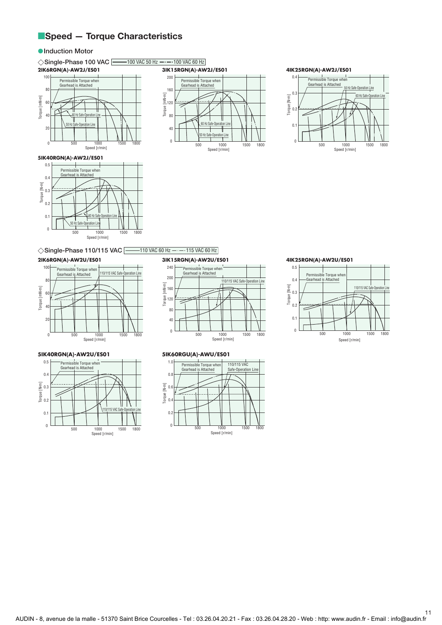# **Speed - Torque Characteristics**

#### $\bullet$  **Induction Motor**

#### $\diamondsuit$ **Single-Phase 100 VAC**  $\textcolor{red}{\big|}\textcolor{red}{\text{---}}$ **100 VAC 50 Hz**  $\textcolor{red}{\text{---}}$ **100 VAC 60 Hz 2IK6RGN(A)-AW2J/ES01** 100 Permissible Torque when Gearhead is Attached 80 Torque [mN-m] Torque [mN·m] 60 40 60 Hz Safe-Operation Line 50 Hz Safe-Operation Line  $\overline{2}$

500 1000 1500 1800 Speed [r/min]



# **4IK25RGN(A)-AW2J/ES01**



#### **5IK40RGN(A)-AW2J/ES01**

 $\overline{0}$ 



#### ◯Single-Phase 110/115 VAC  $\boxed{\phantom{15mm}}$  110 VAC 60 Hz  $\phantom{10mm}-\phantom{110}$  VAC 60 Hz

#### **2IK6RGN(A)-AW2U/ES01**



#### **5IK40RGN(A)-AW2U/ES01**



#### **3IK15RGN(A)-AW2U/ES01**



#### **5IK60RGU(A)-AWU/ES01**



#### **4IK25RGN(A)-AW2U/ES01**

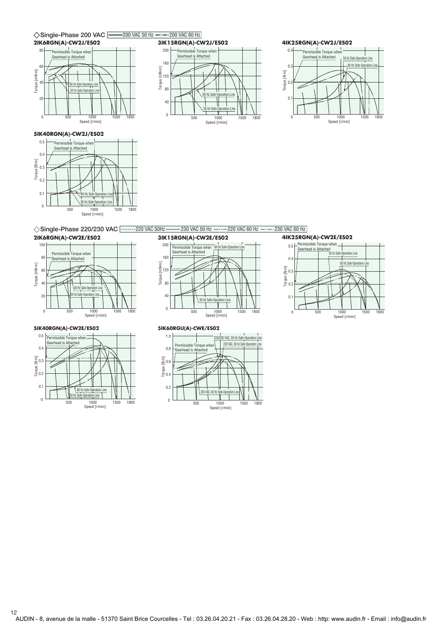





#### **5IK40RGN(A)-CW2J/ES02**



◇ Single-Phase 220/230 VAC 2202230 VAC 50Hz 230 VAC 50 Hz 220 VAC 60 Hz 220 VAC 60 Hz

#### **2IK6RGN(A)-CW2E/ES02**



#### **5IK40RGN(A)-CW2E/ES02**



#### **3IK15RGN(A)-CW2E/ES02**



#### **4IK25RGN(A)-CW2E/ES02** ssible Torque when



#### **5IK60RGU(A)-CWE/ES02**



12

AUDIN - 8, avenue de la malle - 51370 Saint Brice Courcelles - Tel : 03.26.04.20.21 - Fax : 03.26.04.28.20 - Web : http: www.audin.fr - Email : info@audin.fr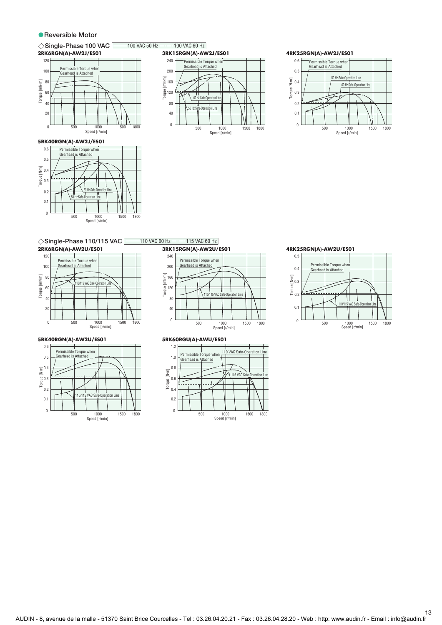#### **Reversible Motor**

# $\diamondsuit$ **Single-Phase 100 VAC**  $\textcolor{red}{\bigcup_{\hspace{0.5mm}-\textbf{100\ VAC}}}\,$  **50 Hz**  $\textcolor{red}{\textbf{---}}$  **100 VAC 60 Hz**



#### **5RK40RGN(A)-AW2J/ES01**





#### **4RK25RGN(A)-AW2J/ES01**



# ◯Single-Phase 110/115 VAC  $\boxed{\phantom{15mm}}$  110 VAC 60 Hz  $\phantom{11mm}}$  ----115 VAC 60 Hz



#### **5RK40RGN(A)-AW2U/ES01**



#### **3RK15RGN(A)-AW2U/ES01** Torque [mN·m] Speed [r/min] 110/115 VAC Safe-Operation Line 40 80 120 160 240 200 0 500 1000 1500 1800 Permissible Torque when Gearhead is Attached

#### **5RK60RGU(A)-AWU/ES01**





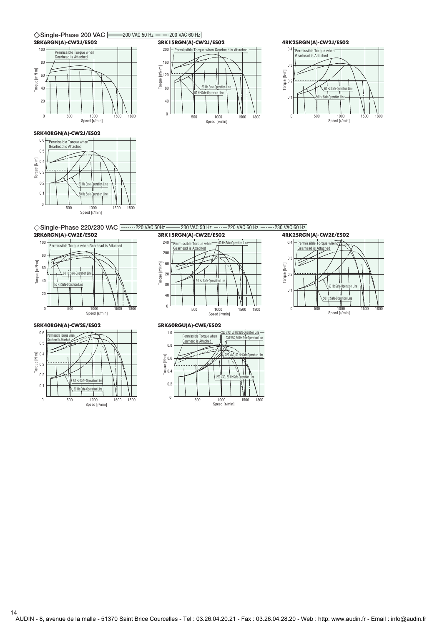





**5RK40RGN(A)-CW2J/ES02**



◇ Single-Phase 220/230 VAC 2202020 VAC 50Hz 230 VAC 50 Hz 220 VAC 60 Hz 220 VAC 60 Hz

**2RK6RGN(A)-CW2E/ES02**



#### **5RK40RGN(A)-CW2E/ES02**



# **3RK15RGN(A)-CW2E/ES02**





**5RK60RGU(A)-CWE/ES02**

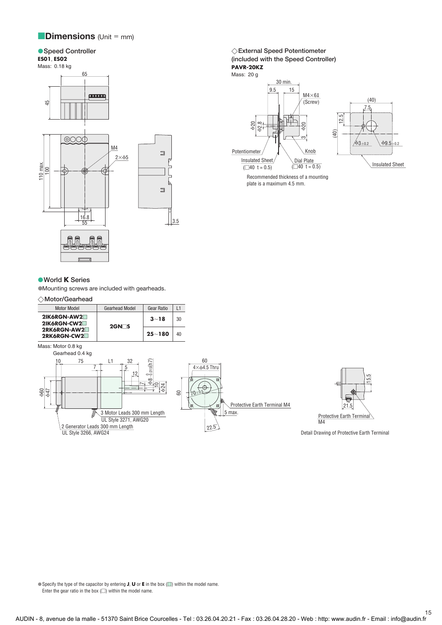# **Dimensions** (Unit = mm)

#### **Speed Controller** ● Speed Controller **Controller External Speed Potentiometer Controller Controller**

### **ES01**, **ES02**

#### Mass: 0.18 kg



#### **World K Series**

Mounting screws are included with gearheads.

#### **Motor/Gearhead**





Mass: 20 g



Recommended thickness of a mounting plate is a maximum 4.5 mm.

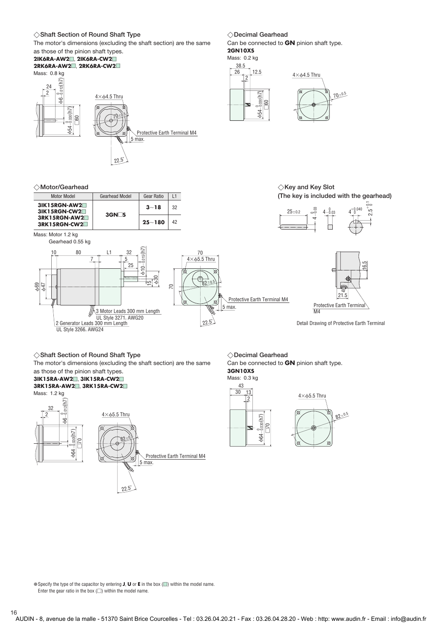#### **Shaft Section of Round Shaft Type Decimal Gearhead**

The motor's dimensions (excluding the shaft section) are the same

### as those of the pinion shaft types.

#### **2IK6RA-AW2**-, **2IK6RA-CW2**- **2RK6RA-AW2**-, **2RK6RA-CW2**-



**Motor/Gearhead**





Can be connected to **GN** pinion shaft type. **2GN10XS**

#### Mass: 0.2 kg





# $\diamondsuit$ Key and Key Slot **(The key is included with the gearhead)**



#### **Shaft Section of Round Shaft Type Decimal Gearhead**

The motor's dimensions (excluding the shaft section) are the same as those of the pinion shaft types.

#### **3IK15RA-AW2**-, **3IK15RA-CW2**- **3RK15RA-AW2**-, **3RK15RA-CW2**-

Mass: 1.2 kg



◇Decimal Gearhead

Can be connected to **GN** pinion shaft type. **3GN10XS** Mass: 0.3 kg



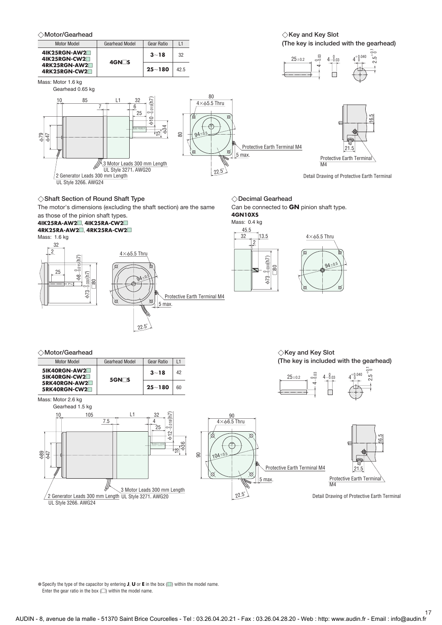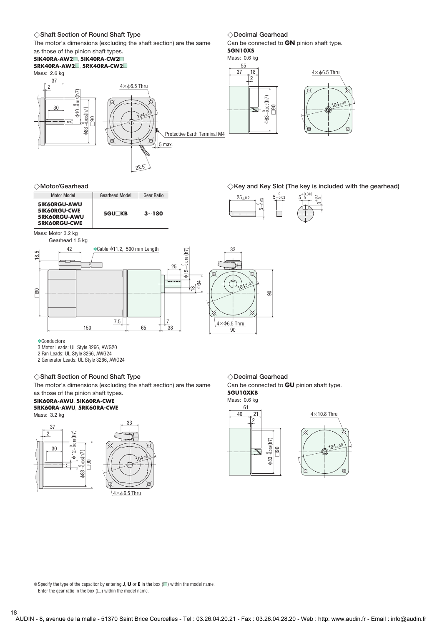#### **Shaft Section of Round Shaft Type Decimal Gearhead**

The motor's dimensions (excluding the shaft section) are the same

#### as those of the pinion shaft types. **5IK40RA-AW2**-, **5IK40RA-CW2**-







22.5˚

◇Decimal Gearhead

Can be connected to **GN** pinion shaft type. **5GN10XS**

#### Mass: 0.6 kg 55

37 18

2



**Motor/Gearhead**



 **Key and Key Slot (The key is included with the gearhead)**  0.040



Mass: Motor 3.2 kg Gearhead 1.5 kg



✽Conductors

3 Motor Leads: UL Style 3266, AWG20

2 Fan Leads: UL Style 3266, AWG24

2 Generator Leads: UL Style 3266, AWG24

#### **Shaft Section of Round Shaft Type Decimal Gearhead**

The motor's dimensions (excluding the shaft section) are the same as those of the pinion shaft types.

#### **5IK60RA-AWU**, **5IK60RA-CWE 5RK60RA-AWU**, **5RK60RA-CWE**

Mass: 3.2 kg



◇Decimal Gearhead

Can be connected to **GU** pinion shaft type. **5GU10XKB**

Mass: 0.6 kg

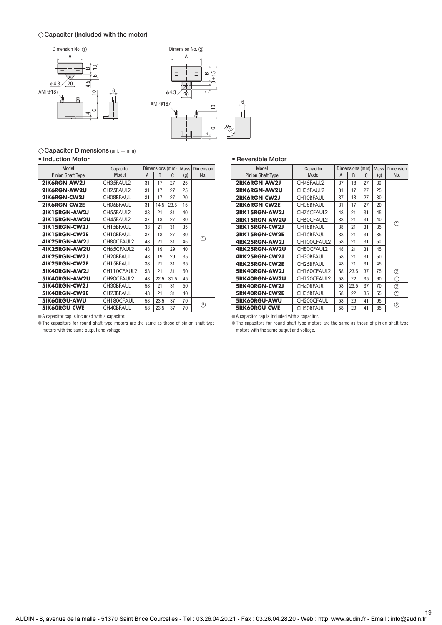#### **Capacitor (Included with the motor)**





 $\diamondsuit$ **Capacitor Dimensions** (unit  $=$  mm)

#### **Induction Motor**

| Model                    | Capacitor        |    | Dimensions (mm) |      | <b>Mass</b> | <b>Dimension</b> |
|--------------------------|------------------|----|-----------------|------|-------------|------------------|
| <b>Pinion Shaft Type</b> | Model            | A  | B               | C    | (g)         | No.              |
| 2IK6RGN-AW2J             | CH35FAUL2        | 31 | 17              | 27   | 25          |                  |
| 2IK6RGN-AW2U             | CH25FAUL2        | 31 | 17              | 27   | 25          |                  |
| 2IK6RGN-CW2J             | CH08BFAUL        | 31 | 17              | 27   | 20          |                  |
| 2IK6RGN-CW2E             | CH06BFAUL        | 31 | 14.5            | 23.5 | 15          |                  |
| <b>3IK15RGN-AW2J</b>     | CH55FAUL2        | 38 | 21              | 31   | 40          |                  |
| <b>3IK15RGN-AW2U</b>     | CH45FAUL2        | 37 | 18              | 27   | 30          |                  |
| 31K15RGN-CW2J            | CH15BFAUL        | 38 | 21              | 31   | 35          |                  |
| 3IK15RGN-CW2E            | CH10BFAUL        | 37 | 18              | 27   | 30          |                  |
| 4IK25RGN-AW2J            | CH80CFAUL2       | 48 | 21              | 31   | 45          | ➀                |
| 4IK25RGN-AW2U            | CH65CFAUL2       | 48 | 19              | 29   | 40          |                  |
| 4IK25RGN-CW2J            | CH20BFAUL        | 48 | 19              | 29   | 35          |                  |
| 4IK25RGN-CW2E            | CH15BFAUL        | 38 | 21              | 31   | 35          |                  |
| 5IK40RGN-AW2J            | CH110CFAUL2      | 58 | 21              | 31   | 50          |                  |
| 5IK40RGN-AW2U            | CH90CFAUL2       | 48 | 22.5            | 31.5 | 45          |                  |
| 5IK40RGN-CW2J            | CH30BFAUL        | 58 | 21              | 31   | 50          |                  |
| 51K40RGN-CW2E            | CH23BFAUL        | 48 | 21              | 31   | 40          |                  |
| <b>5IK60RGU-AWU</b>      | CH180CFAUL       | 58 | 23.5            | 37   | 70          |                  |
| 5IK60RGU-CWE             | <b>CH40BFAUL</b> | 58 | 23.5            | 37   | 70          | ②                |
|                          |                  |    |                 |      |             |                  |

A capacitor cap is included with a capacitor.

The capacitors for round shaft type motors are the same as those of pinion shaft type motors with the same output and voltage.

|  |  | • Reversible Motor |  |
|--|--|--------------------|--|
|--|--|--------------------|--|

| Model                    | Capacitor              |    | Dimensions (mm) |    | <b>Mass</b> | Dimension |
|--------------------------|------------------------|----|-----------------|----|-------------|-----------|
| <b>Pinion Shaft Type</b> | Model                  | A  | B               | C  | (g)         | No.       |
| 2RK6RGN-AW2J             | CH45FAUL2              | 37 | 18              | 27 | 30          |           |
| 2RK6RGN-AW2U             | CH35FAUL2              | 31 | 17              | 27 | 25          |           |
| 2RK6RGN-CW2J             | CH10BFAUL              | 37 | 18              | 27 | 30          |           |
| 2RK6RGN-CW2E             | CH08BFAUL              | 31 | 17              | 27 | 20          |           |
| 3RK15RGN-AW2J            | CH75CFAUL2             | 48 | 21              | 31 | 45          |           |
| 3RK15RGN-AW2U            | CH60CFAUL2             | 38 | 21              | 31 | 40          |           |
| 3RK15RGN-CW2J            | CH18BFAUL              | 38 | 21              | 31 | 35          | ⋒         |
| 3RK15RGN-CW2E            | CH15BFAUL              | 38 | 21              | 31 | 35          |           |
| 4RK25RGN-AW2J            | CH100CFAUL2            | 58 | 21              | 31 | 50          |           |
| 4RK25RGN-AW2U            | CH80CFAUL2             | 48 | 21              | 31 | 45          |           |
| 4RK25RGN-CW2J            | CH30BFAUL              | 58 | 21              | 31 | 50          |           |
| 4RK25RGN-CW2E            | CH <sub>25</sub> BFAUL | 48 | 21              | 31 | 45          |           |
| 5RK40RGN-AW2J            | CH160CFAUL2            | 58 | 23.5            | 37 | 75          | ②         |
| 5RK40RGN-AW2U            | CH120CFAUL2            | 58 | 22              | 35 | 60          | ⊕         |
| 5RK40RGN-CW2J            | CH40BFAUL              | 58 | 23.5            | 37 | 70          | ②         |
| 5RK40RGN-CW2E            | CH35BFAUL              | 58 | 22              | 35 | 55          | ⊕         |
| 5RK60RGU-AWU             | CH200CFAUL             | 58 | 29              | 41 | 95          |           |
| <b>5RK60RGU-CWE</b>      | <b>CH50BFAUL</b>       | 58 | 29              | 41 | 85          | ②         |

A capacitor cap is included with a capacitor.

The capacitors for round shaft type motors are the same as those of pinion shaft type motors with the same output and voltage.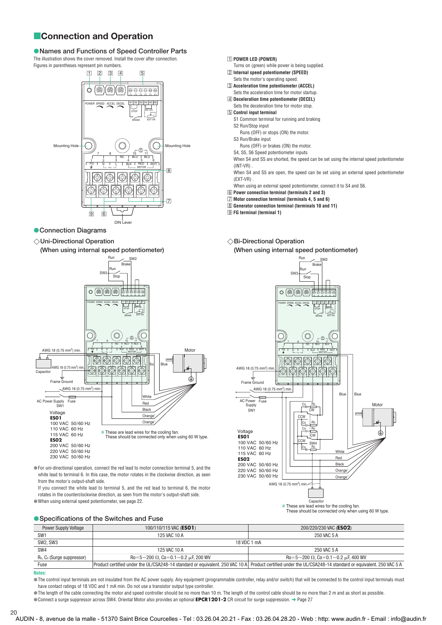# **Connection and Operation**

# **Names and Functions of Speed Controller Parts**

The illustration shows the cover removed. Install the cover after connection.





#### **Connection Diagrams**

 **Uni-Directional Operation** 

**(When using internal speed potentiometer)** 



For uni-directional operation, connect the red lead to motor connection terminal 5, and the white lead to terminal 6. In this case, the motor rotates in the clockwise direction, as seen from the motor's output-shaft side.

If you connect the white lead to terminal 5, and the red lead to terminal 6, the motor rotates in the counterclockwise direction, as seen from the motor's output-shaft side. When using external speed potentiometer, see page 22.

#### **Specifications of the Switches and Fuse**

|  |  | $\Box$ POWER LED (POWER) |  |  |
|--|--|--------------------------|--|--|
|--|--|--------------------------|--|--|

- Turns on (green) while power is being supplied.
- -2 **Internal speed potentiometer (SPEED)**
- Sets the motor's operating speed. -3 **Acceleration time potentiometer (ACCEL)**
- Sets the acceleration time for motor startup.
- -4 **Deceleration time potentiometer (DECEL)** Sets the deceleration time for motor stop.
- -5 **Control input terminal**
- S1 Common terminal for running and braking S2 Run/Stop input
- Runs (OFF) or stops (ON) the motor. S3 Run/Brake input
- Runs (OFF) or brakes (ON) the motor.
- S4, S5, S6 Speed potentiometer inputs
- When S4 and S5 are shorted, the speed can be set using the internal speed potentiometer  $(INT-VR)$
- When S4 and S5 are open, the speed can be set using an external speed potentiometer (EXT-VR) .
- When using an external speed potentiometer, connect it to S4 and S6.
- -6 **Power connection terminal (terminals 2 and 3)**
- -7 **Motor connection terminal (terminals 4, 5 and 6)**
- -8 **Generator connection terminal (terminals 10 and 11)**
- -9 **FG terminal (terminal 1)**
- $\diamondsuit$ Bi-Directional Operation **(When using internal speed potentiometer)**





Power Supply Voltage 100/110/115 VAC (**ES01**) 200/220/230 VAC (**ES02**) SW1 250 VAC 5 A 250 VAC 5 A 250 VAC 5 A 250 VAC 5 A 250 VAC 5 A 250 VAC 5 A SW2, SW3 2008 18 VDC 1 mA SW4 125 VAC 10 A 250 VAC 5 A R<sub>0</sub>, C<sub>0</sub> (Surge suppressor) 200  $\Omega$ , Co=0.1 $\sim$ 0.2  $\mu$ F, 200 WV contracts and the contracts of Ro=5 $\sim$ 200  $\Omega$ , Co=0.1 ${\sim}$ 0.2  $\mu$ F, 400 WV Fuse Product certified under the UL/CSA248-14 standard or equivalent. 250 VAC 10 A Product certified under the UL/CSA248-14 standard or equivalent. 250 VAC 5 A

**Notes:** 

The control input terminals are not insulated from the AC power supply. Any equipment (programmable controller, relay and/or switch) that will be connected to the control input terminals must have contact ratings of 18 VDC and 1 mA min. Do not use a transistor output type controller.

 $\bullet$  The length of the cable connecting the motor and speed controller should be no more than 10 m. The length of the control cable should be no more than 2 m and as short as possible.

Connect a surge suppressor across SW4. Oriental Motor also provides an optional **EPCR1201-2** CR circuit for surge suppression. ➜ Page 27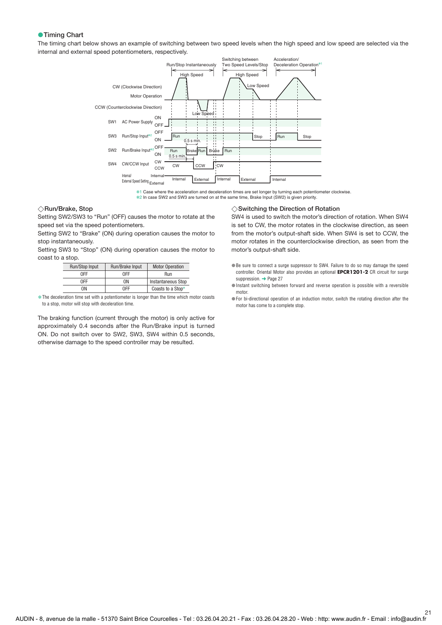#### **Timing Chart**

The timing chart below shows an example of switching between two speed levels when the high speed and low speed are selected via the internal and external speed potentiometers, respectively.



✽1 Case where the acceleration and deceleration times are set longer by turning each potentiometer clockwise. ✽2 In case SW2 and SW3 are turned on at the same time, Brake Input (SW2) is given priority.

#### **Run/Brake, Stop**

Setting SW2/SW3 to "Run" (OFF) causes the motor to rotate at the speed set via the speed potentiometers.

Setting SW2 to "Brake" (ON) during operation causes the motor to stop instantaneously.

Setting SW3 to "Stop" (ON) during operation causes the motor to coast to a stop.

| Run/Stop Input | Run/Brake Input | <b>Motor Operation</b>    |
|----------------|-----------------|---------------------------|
| 0FF            | 0FF             | Run                       |
| 0FF            | ΩN              | <b>Instantaneous Stop</b> |
| ٦N             | <b>OFF</b>      | Coasts to a Stop*         |

**∗The deceleration time set with a potentiometer is longer than the time which motor coasts** to a stop, motor will stop with deceleration time.

The braking function (current through the motor) is only active for approximately 0.4 seconds after the Run/Brake input is turned ON. Do not switch over to SW2, SW3, SW4 within 0.5 seconds, otherwise damage to the speed controller may be resulted.

#### **Switching the Direction of Rotation**

SW4 is used to switch the motor's direction of rotation. When SW4 is set to CW, the motor rotates in the clockwise direction, as seen from the motor's output-shaft side. When SW4 is set to CCW, the motor rotates in the counterclockwise direction, as seen from the motor's output-shaft side.

- Be sure to connect a surge suppressor to SW4. Failure to do so may damage the speed controller. Oriental Motor also provides an optional **EPCR1201-2** CR circuit for surge suppression. **→** Page 27
- Instant switching between forward and reverse operation is possible with a reversible motor.
- For bi-directional operation of an induction motor, switch the rotating direction after the motor has come to a complete stop.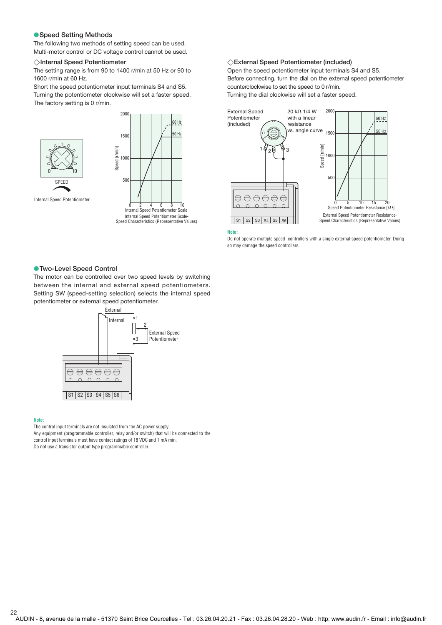#### **Speed Setting Methods**

The following two methods of setting speed can be used. Multi-motor control or DC voltage control cannot be used.

#### **Internal Speed Potentiometer**

The setting range is from 90 to 1400 r/min at 50 Hz or 90 to 1600 r/min at 60 Hz.

Short the speed potentiometer input terminals S4 and S5. Turning the potentiometer clockwise will set a faster speed. The factory setting is 0 r/min.





#### Internal Speed Potentiometer

**External Speed Potentiometer (included)** 

Open the speed potentiometer input terminals S4 and S5. Before connecting, turn the dial on the external speed potentiometer counterclockwise to set the speed to 0 r/min. Turning the dial clockwise will set a faster speed.



#### **Note:**

Do not operate multiple speed controllers with a single external speed potentiometer. Doing so may damage the speed controllers.

#### **Two-Level Speed Control**

The motor can be controlled over two speed levels by switching between the internal and external speed potentiometers. Setting SW (speed-setting selection) selects the internal speed potentiometer or external speed potentiometer.



#### **Note:**

The control input terminals are not insulated from the AC power supply. Any equipment (programmable controller, relay and/or switch) that will be connected to the control input terminals must have contact ratings of 18 VDC and 1 mA min. Do not use a transistor output type programmable controller.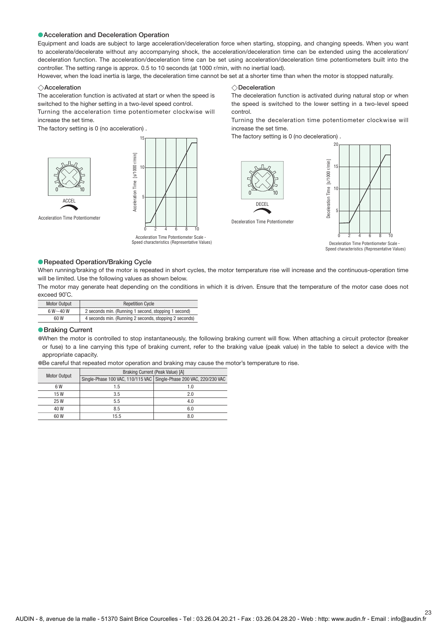#### **Acceleration and Deceleration Operation**

Equipment and loads are subject to large acceleration/deceleration force when starting, stopping, and changing speeds. When you want to accelerate/decelerate without any accompanying shock, the acceleration/deceleration time can be extended using the acceleration/ deceleration function. The acceleration/deceleration time can be set using acceleration/deceleration time potentiometers built into the controller. The setting range is approx. 0.5 to 10 seconds (at 1000 r/min, with no inertial load).

However, when the load inertia is large, the deceleration time cannot be set at a shorter time than when the motor is stopped naturally.

#### **Acceleration**

The acceleration function is activated at start or when the speed is switched to the higher setting in a two-level speed control.

Turning the acceleration time potentiometer clockwise will increase the set time.

The factory setting is 0 (no acceleration) .



Acceleration Time Potentiometer



Acceleration Time Potentiometer Scale -

 $\diamondsuit$ Acceleration  $\diamondsuit$ Deceleration

The deceleration function is activated during natural stop or when the speed is switched to the lower setting in a two-level speed control.

Turning the deceleration time potentiometer clockwise will increase the set time.

The factory setting is 0 (no deceleration) .



Deceleration Time Potentiometer Scale -

#### **Repeated Operation/Braking Cycle**

When running/braking of the motor is repeated in short cycles, the motor temperature rise will increase and the continuous-operation time will be limited. Use the following values as shown below.

The motor may generate heat depending on the conditions in which it is driven. Ensure that the temperature of the motor case does not exceed 90˚C.

| <b>Motor Output</b> | <b>Repetition Cycle</b>                                |
|---------------------|--------------------------------------------------------|
| $6 W - 40 W$        | 2 seconds min. (Running 1 second, stopping 1 second)   |
| 60 W                | 4 seconds min. (Running 2 seconds, stopping 2 seconds) |

#### **Braking Current**

When the motor is controlled to stop instantaneously, the following braking current will flow. When attaching a circuit protector (breaker or fuse) to a line carrying this type of braking current, refer to the braking value (peak value) in the table to select a device with the appropriate capacity.

Be careful that repeated motor operation and braking may cause the motor's temperature to rise.

|                     |      | Braking Current (Peak Value) [A]                                    |
|---------------------|------|---------------------------------------------------------------------|
| <b>Motor Output</b> |      | Single-Phase 100 VAC, 110/115 VAC Single-Phase 200 VAC, 220/230 VAC |
| 6 W                 | 1.5  | 1.0                                                                 |
| 15W                 | 3.5  | 2.0                                                                 |
| 25 W                | 5.5  | 4.0                                                                 |
| 40 W                | 8.5  | 6.0                                                                 |
| 60W                 | 15.5 | 8.0                                                                 |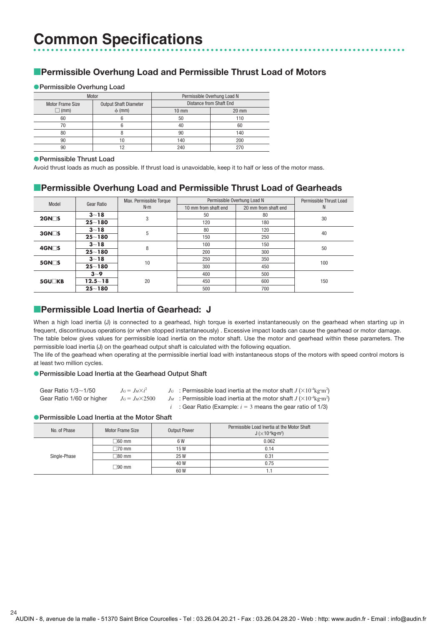# **Permissible Overhung Load and Permissible Thrust Load of Motors**

#### **Permissible Overhung Load**

|                         | Motor                        | Permissible Overhung Load N |                                |  |  |  |  |
|-------------------------|------------------------------|-----------------------------|--------------------------------|--|--|--|--|
| <b>Motor Frame Size</b> | <b>Output Shaft Diameter</b> |                             | <b>Distance from Shaft End</b> |  |  |  |  |
| $\Box$ (mm)             | $\phi$ (mm)                  | $10 \text{ mm}$             | $20$ mm                        |  |  |  |  |
| 60                      |                              | 50                          | 110                            |  |  |  |  |
| 70                      |                              | 40                          | 60                             |  |  |  |  |
| 80                      |                              | 90                          | 140                            |  |  |  |  |
| 90                      | 10                           | 140                         | 200                            |  |  |  |  |
| 90                      | ר ו                          | 240                         | 270                            |  |  |  |  |

#### **Permissible Thrust Load**

Avoid thrust loads as much as possible. If thrust load is unavoidable, keep it to half or less of the motor mass.

# **Permissible Overhung Load and Permissible Thrust Load of Gearheads**

| Model              | Gear Ratio  | Max. Permissible Torque<br>$N \cdot m$ | Permissible Overhung Load N |                      | Permissible Thrust Load |
|--------------------|-------------|----------------------------------------|-----------------------------|----------------------|-------------------------|
|                    |             |                                        | 10 mm from shaft end        | 20 mm from shaft end | N                       |
| $2$ GN $\Box$ S    | $3 - 18$    | 3                                      | 50                          | 80                   | 30                      |
|                    | $25 - 180$  |                                        | 120                         | 180                  |                         |
| $3$ GN $\Box$ S    | $3 - 18$    | 5                                      | 80                          | 120                  | 40                      |
|                    | $25 - 180$  |                                        | 150                         | 250                  |                         |
| 4GN <sub>S</sub>   | $3 - 18$    | 8                                      | 100                         | 150                  | 50                      |
|                    | $25 - 180$  |                                        | 200                         | 300                  |                         |
| $5$ GN $\square$ S | $3 - 18$    | 10                                     | 250                         | 350                  | 100                     |
|                    | $25 - 180$  |                                        | 300                         | 450                  |                         |
| 5GU <sub>KB</sub>  | $3 - 9$     | 20                                     | 400                         | 500                  |                         |
|                    | $12.5 - 18$ |                                        | 450                         | 600                  | 150                     |
|                    | $25 - 180$  |                                        | 500                         | 700                  |                         |

# **Permissible Load Inertia of Gearhead: J**

When a high load inertia (J) is connected to a gearhead, high torque is exerted instantaneously on the gearhead when starting up in frequent, discontinuous operations (or when stopped instantaneously) . Excessive impact loads can cause the gearhead or motor damage. The table below gives values for permissible load inertia on the motor shaft. Use the motor and gearhead within these parameters. The permissible load inertia (J) on the gearhead output shaft is calculated with the following equation.

The life of the gearhead when operating at the permissible inertial load with instantaneous stops of the motors with speed control motors is at least two million cycles.

#### **Permissible Load Inertia at the Gearhead Output Shaft**

| Gear Ratio $1/3 \sim 1/50$ | $J_G = J_M \times i^2$  | $J_G$ : Permissible load inertia at the motor shaft $J(\times 10^{-4} \text{kg} \cdot \text{m}^2)$ |
|----------------------------|-------------------------|----------------------------------------------------------------------------------------------------|
| Gear Ratio 1/60 or higher  | $J_G = J_M \times 2500$ | $J_M$ : Permissible load inertia at the motor shaft $J (X10^{-4} \text{kg} \cdot \text{m}^2)$      |
|                            |                         | <i>i</i> : Gear Ratio (Example: $i = 3$ means the gear ratio of 1/3)                               |

### **Permissible Load Inertia at the Motor Shaft**

| No. of Phase | Motor Frame Size  | <b>Output Power</b> | Permissible Load Inertia at the Motor Shaft<br>$J$ ( $\times$ 10 <sup>-4</sup> kg $\cdot$ m <sup>2</sup> ) |
|--------------|-------------------|---------------------|------------------------------------------------------------------------------------------------------------|
|              | $\Box 60$ mm      | 6 W                 | 0.062                                                                                                      |
|              | $\Box$ 70 mm      | 15 W                | 0.14                                                                                                       |
| Single-Phase | $\sqsupset$ 80 mm | 25 W                | 0.31                                                                                                       |
|              | $\Box$ 90 mm      | 40 W                | 0.75                                                                                                       |
|              |                   | 60 W                |                                                                                                            |

AUDIN - 8, avenue de la malle - 51370 Saint Brice Courcelles - Tel : 03.26.04.20.21 - Fax : 03.26.04.28.20 - Web : http: www.audin.fr - Email : info@audin.fr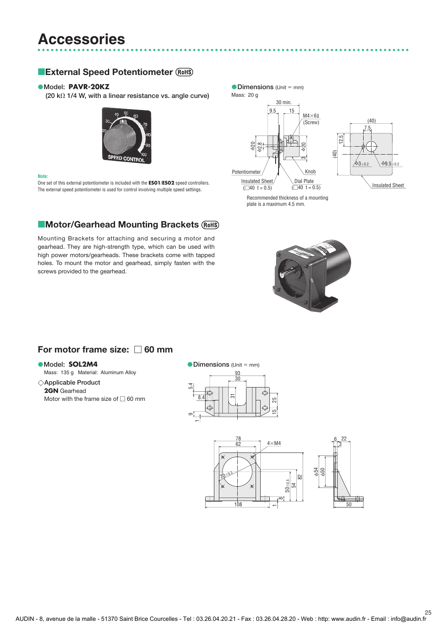# **Accessories**

# **External Speed Potentiometer**

#### **Model: PAVR-20KZ • Model: PAVR-20KZ b Dimensions** (Unit = mm)

 $(20 \text{ k}\Omega)$  1/4 W, with a linear resistance vs. angle curve)



#### **Note:**

One set of this external potentiometer is included with the **ES01**/**ES02** speed controllers. The external speed potentiometer is used for control involving multiple speed settings.

# **EMotor/Gearhead Mounting Brackets**

Mounting Brackets for attaching and securing a motor and gearhead. They are high-strength type, which can be used with high power motors/gearheads. These brackets come with tapped holes. To mount the motor and gearhead, simply fasten with the screws provided to the gearhead.



 $69.5$ 

Recommended thickness of a mounting plate is a maximum 4.5 mm.



# For motor frame size:  $\Box$  60 mm

#### **Model: SOL2M4**

Mass: 135 g Material: Aluminum Alloy

**Applicable Product 2GN** Gearhead Motor with the frame size of  $\Box$  60 mm

#### **• Dimensions (Unit = mm)**



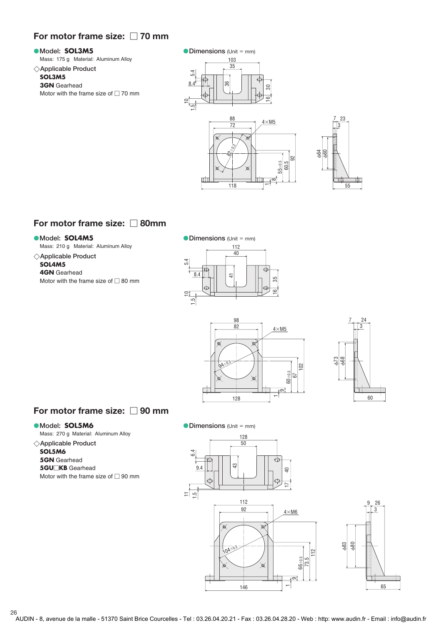# For motor frame size:  $\Box$  70 mm

#### **Model: SOL3M5**

Mass: 175 g Material: Aluminum Alloy

#### **Applicable Product**

### **SOL3M5**

**3GN** Gearhead Motor with the frame size of  $\Box$  70 mm

#### **• Dimensions (Unit = mm)**





# For motor frame size:  $\Box$  80mm

#### **Model: SOL4M5**

Mass: 210 g Material: Aluminum Alloy

- **Applicable Product**
- **SOL4M5 4GN** Gearhead Motor with the frame size of  $\Box$  80 mm







# For motor frame size:  $\Box$  90 mm

#### **Model: SOL5M6**

Mass: 270 g Material: Aluminum Alloy

#### **Applicable Product**

- **SOL5M6**
- **5GN** Gearhead **5GU** $\Box$ KB Gearhead

Motor with the frame size of  $\Box$  90 mm



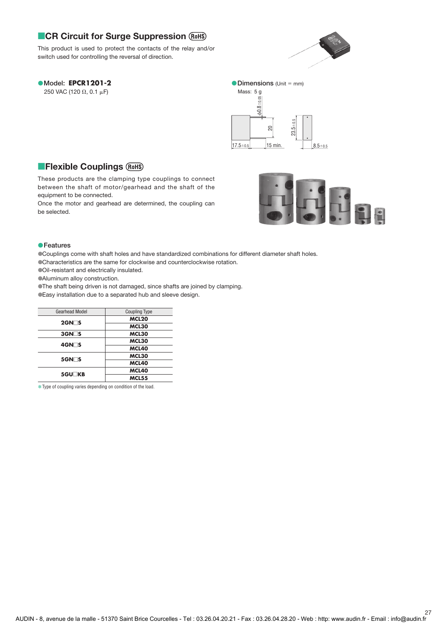# **CR Circuit for Surge Suppression**

This product is used to protect the contacts of the relay and/or switch used for controlling the reversal of direction.



# **Model: EPCR1201-2**

250 VAC (120  $\Omega$ , 0.1  $\mu$ F)



# **Flexible Couplings**

These products are the clamping type couplings to connect between the shaft of motor/gearhead and the shaft of the equipment to be connected.

Once the motor and gearhead are determined, the coupling can be selected.



#### **Features**

Couplings come with shaft holes and have standardized combinations for different diameter shaft holes.

Characteristics are the same for clockwise and counterclockwise rotation.

Oil-resistant and electrically insulated.

Aluminum alloy construction.

The shaft being driven is not damaged, since shafts are joined by clamping. Easy installation due to a separated hub and sleeve design.

| <b>Gearhead Model</b> | <b>Coupling Type</b> |
|-----------------------|----------------------|
| $2$ GN $\Box$ S       | MCL <sub>20</sub>    |
|                       | MCL30                |
| $3$ GN $\Box$ S       | MCL30                |
| 4GN□S                 | MCL30                |
|                       | MCL40                |
| $5$ GN $\Box$ S       | MCL30                |
|                       | MCL40                |
| <b>5GU</b> KB         | MCL40                |
|                       | <b>MCL55</b>         |

**∗** Type of coupling varies depending on condition of the load.